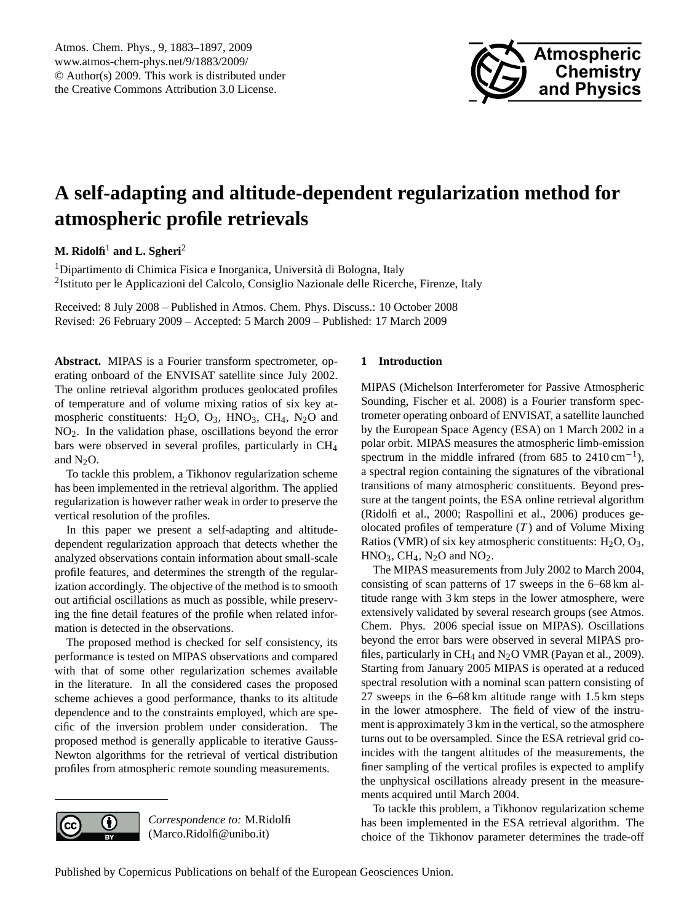

# <span id="page-0-0"></span>**A self-adapting and altitude-dependent regularization method for atmospheric profile retrievals**

**M. Ridolfi**<sup>1</sup> **and L. Sgheri**<sup>2</sup>

<sup>1</sup>Dipartimento di Chimica Fisica e Inorganica, Università di Bologna, Italy <sup>2</sup>Istituto per le Applicazioni del Calcolo, Consiglio Nazionale delle Ricerche, Firenze, Italy

Received: 8 July 2008 – Published in Atmos. Chem. Phys. Discuss.: 10 October 2008 Revised: 26 February 2009 – Accepted: 5 March 2009 – Published: 17 March 2009

**Abstract.** MIPAS is a Fourier transform spectrometer, operating onboard of the ENVISAT satellite since July 2002. The online retrieval algorithm produces geolocated profiles of temperature and of volume mixing ratios of six key atmospheric constituents:  $H_2O$ ,  $O_3$ ,  $HNO_3$ ,  $CH_4$ ,  $N_2O$  and NO2. In the validation phase, oscillations beyond the error bars were observed in several profiles, particularly in CH<sup>4</sup> and  $N_2O$ .

To tackle this problem, a Tikhonov regularization scheme has been implemented in the retrieval algorithm. The applied regularization is however rather weak in order to preserve the vertical resolution of the profiles.

In this paper we present a self-adapting and altitudedependent regularization approach that detects whether the analyzed observations contain information about small-scale profile features, and determines the strength of the regularization accordingly. The objective of the method is to smooth out artificial oscillations as much as possible, while preserving the fine detail features of the profile when related information is detected in the observations.

The proposed method is checked for self consistency, its performance is tested on MIPAS observations and compared with that of some other regularization schemes available in the literature. In all the considered cases the proposed scheme achieves a good performance, thanks to its altitude dependence and to the constraints employed, which are specific of the inversion problem under consideration. The proposed method is generally applicable to iterative Gauss-Newton algorithms for the retrieval of vertical distribution profiles from atmospheric remote sounding measurements.



*Correspondence to:* M.Ridolfi (Marco.Ridolfi@unibo.it)

# <span id="page-0-1"></span>**1 Introduction**

MIPAS (Michelson Interferometer for Passive Atmospheric Sounding, [Fischer et al.](#page-13-0) [2008\)](#page-13-0) is a Fourier transform spectrometer operating onboard of ENVISAT, a satellite launched by the European Space Agency (ESA) on 1 March 2002 in a polar orbit. MIPAS measures the atmospheric limb-emission spectrum in the middle infrared (from 685 to  $2410 \text{ cm}^{-1}$ ), a spectral region containing the signatures of the vibrational transitions of many atmospheric constituents. Beyond pressure at the tangent points, the ESA online retrieval algorithm [\(Ridolfi et al.,](#page-13-1) [2000;](#page-13-1) [Raspollini et al.,](#page-13-2) [2006\)](#page-13-2) produces geolocated profiles of temperature  $(T)$  and of Volume Mixing Ratios (VMR) of six key atmospheric constituents:  $H_2O$ ,  $O_3$ ,  $HNO<sub>3</sub>, CH<sub>4</sub>, N<sub>2</sub>O$  and  $NO<sub>2</sub>$ .

The MIPAS measurements from July 2002 to March 2004, consisting of scan patterns of 17 sweeps in the 6–68 km altitude range with 3 km steps in the lower atmosphere, were extensively validated by several research groups (see Atmos. Chem. Phys. 2006 special issue on MIPAS). Oscillations beyond the error bars were observed in several MIPAS profiles, particularly in  $CH_4$  and  $N_2O$  VMR [\(Payan et al.,](#page-13-3) [2009\)](#page-13-3). Starting from January 2005 MIPAS is operated at a reduced spectral resolution with a nominal scan pattern consisting of 27 sweeps in the 6–68 km altitude range with 1.5 km steps in the lower atmosphere. The field of view of the instrument is approximately 3 km in the vertical, so the atmosphere turns out to be oversampled. Since the ESA retrieval grid coincides with the tangent altitudes of the measurements, the finer sampling of the vertical profiles is expected to amplify the unphysical oscillations already present in the measurements acquired until March 2004.

To tackle this problem, a Tikhonov regularization scheme has been implemented in the ESA retrieval algorithm. The choice of the Tikhonov parameter determines the trade-off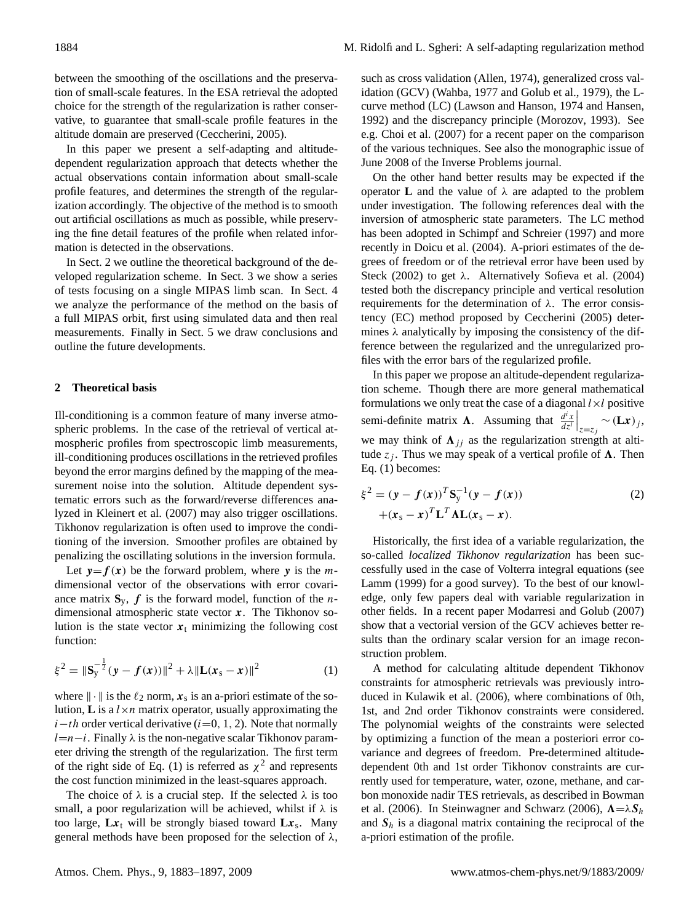between the smoothing of the oscillations and the preservation of small-scale features. In the ESA retrieval the adopted choice for the strength of the regularization is rather conservative, to guarantee that small-scale profile features in the altitude domain are preserved [\(Ceccherini,](#page-13-4) [2005\)](#page-13-4).

In this paper we present a self-adapting and altitudedependent regularization approach that detects whether the actual observations contain information about small-scale profile features, and determines the strength of the regularization accordingly. The objective of the method is to smooth out artificial oscillations as much as possible, while preserving the fine detail features of the profile when related information is detected in the observations.

In Sect. [2](#page-1-0) we outline the theoretical background of the developed regularization scheme. In Sect. [3](#page-4-0) we show a series of tests focusing on a single MIPAS limb scan. In Sect. [4](#page-7-0) we analyze the performance of the method on the basis of a full MIPAS orbit, first using simulated data and then real measurements. Finally in Sect. [5](#page-11-0) we draw conclusions and outline the future developments.

## <span id="page-1-0"></span>**2 Theoretical basis**

Ill-conditioning is a common feature of many inverse atmospheric problems. In the case of the retrieval of vertical atmospheric profiles from spectroscopic limb measurements, ill-conditioning produces oscillations in the retrieved profiles beyond the error margins defined by the mapping of the measurement noise into the solution. Altitude dependent systematic errors such as the forward/reverse differences analyzed in [Kleinert et al.](#page-13-5) [\(2007\)](#page-13-5) may also trigger oscillations. Tikhonov regularization is often used to improve the conditioning of the inversion. Smoother profiles are obtained by penalizing the oscillating solutions in the inversion formula.

Let  $y = f(x)$  be the forward problem, where y is the mdimensional vector of the observations with error covariance matrix  $S_y$ ,  $f$  is the forward model, function of the *n*dimensional atmospheric state vector  $x$ . The Tikhonov solution is the state vector  $x_t$  minimizing the following cost function:

<span id="page-1-1"></span>
$$
\xi^{2} = \|\mathbf{S}_{\mathbf{y}}^{-\frac{1}{2}}(\mathbf{y} - \mathbf{f}(\mathbf{x}))\|^{2} + \lambda \|\mathbf{L}(\mathbf{x}_{\mathbf{s}} - \mathbf{x})\|^{2}
$$
 (1)

where  $\|\cdot\|$  is the  $\ell_2$  norm,  $x_s$  is an a-priori estimate of the solution, **L** is a  $l \times n$  matrix operator, usually approximating the  $i-th$  order vertical derivative ( $i=0, 1, 2$ ). Note that normally  $l=n-i$ . Finally  $\lambda$  is the non-negative scalar Tikhonov parameter driving the strength of the regularization. The first term of the right side of Eq. [\(1\)](#page-1-1) is referred as  $\chi^2$  and represents the cost function minimized in the least-squares approach.

The choice of  $\lambda$  is a crucial step. If the selected  $\lambda$  is too small, a poor regularization will be achieved, whilst if  $\lambda$  is too large,  $Lx_t$  will be strongly biased toward  $Lx_s$ . Many general methods have been proposed for the selection of  $\lambda$ , such as cross validation [\(Allen,](#page-12-0) [1974\)](#page-12-0), generalized cross validation (GCV) [\(Wahba,](#page-14-0) [1977](#page-14-0) and [Golub et al.,](#page-13-6) [1979\)](#page-13-6), the Lcurve method (LC) [\(Lawson and Hanson,](#page-13-7) [1974](#page-13-7) and [Hansen,](#page-13-8) [1992\)](#page-13-8) and the discrepancy principle [\(Morozov,](#page-13-9) [1993\)](#page-13-9). See e.g. [Choi et al.](#page-13-10) [\(2007\)](#page-13-10) for a recent paper on the comparison of the various techniques. See also the monographic issue of June 2008 of the Inverse Problems journal.

On the other hand better results may be expected if the operator **L** and the value of  $λ$  are adapted to the problem under investigation. The following references deal with the inversion of atmospheric state parameters. The LC method has been adopted in [Schimpf and Schreier](#page-13-11) [\(1997\)](#page-13-11) and more recently in [Doicu et al.](#page-13-12) [\(2004\)](#page-13-12). A-priori estimates of the degrees of freedom or of the retrieval error have been used by [Steck](#page-14-1) [\(2002\)](#page-14-1) to get  $\lambda$ . Alternatively [Sofieva et al.](#page-14-2) [\(2004\)](#page-14-2) tested both the discrepancy principle and vertical resolution requirements for the determination of λ. The error consistency (EC) method proposed by [Ceccherini](#page-13-4) [\(2005\)](#page-13-4) determines  $\lambda$  analytically by imposing the consistency of the difference between the regularized and the unregularized profiles with the error bars of the regularized profile.

In this paper we propose an altitude-dependent regularization scheme. Though there are more general mathematical formulations we only treat the case of a diagonal  $l \times l$  positive semi-definite matrix  $\Lambda$ . Assuming that  $\frac{d^i x}{dt^i}$  $dz^i$  $\Big|_{z=z_j} \sim (\mathbf{L}x)_j,$ we may think of  $\Lambda_{jj}$  as the regularization strength at altitude  $z_i$ . Thus we may speak of a vertical profile of  $\Lambda$ . Then Eq. [\(1\)](#page-1-1) becomes:

<span id="page-1-2"></span>
$$
\xi^{2} = (\mathbf{y} - \mathbf{f}(\mathbf{x}))^{T} \mathbf{S}_{y}^{-1} (\mathbf{y} - \mathbf{f}(\mathbf{x}))
$$
  
 
$$
+(\mathbf{x}_{s} - \mathbf{x})^{T} \mathbf{L}^{T} \mathbf{\Lambda} \mathbf{L} (\mathbf{x}_{s} - \mathbf{x}).
$$
 (2)

Historically, the first idea of a variable regularization, the so-called *localized Tikhonov regularization* has been successfully used in the case of Volterra integral equations (see [Lamm](#page-13-13) [\(1999\)](#page-13-13) for a good survey). To the best of our knowledge, only few papers deal with variable regularization in other fields. In a recent paper [Modarresi and Golub](#page-13-14) [\(2007\)](#page-13-14) show that a vectorial version of the GCV achieves better results than the ordinary scalar version for an image reconstruction problem.

A method for calculating altitude dependent Tikhonov constraints for atmospheric retrievals was previously introduced in [Kulawik et al.](#page-13-15) [\(2006\)](#page-13-15), where combinations of 0th, 1st, and 2nd order Tikhonov constraints were considered. The polynomial weights of the constraints were selected by optimizing a function of the mean a posteriori error covariance and degrees of freedom. Pre-determined altitudedependent 0th and 1st order Tikhonov constraints are currently used for temperature, water, ozone, methane, and carbon monoxide nadir TES retrievals, as described in [Bowman](#page-12-1) [et al.](#page-12-1) [\(2006\)](#page-14-3). In [Steinwagner and Schwarz](#page-14-3) (2006),  $\Lambda = \lambda S_h$ and  $S_h$  is a diagonal matrix containing the reciprocal of the a-priori estimation of the profile.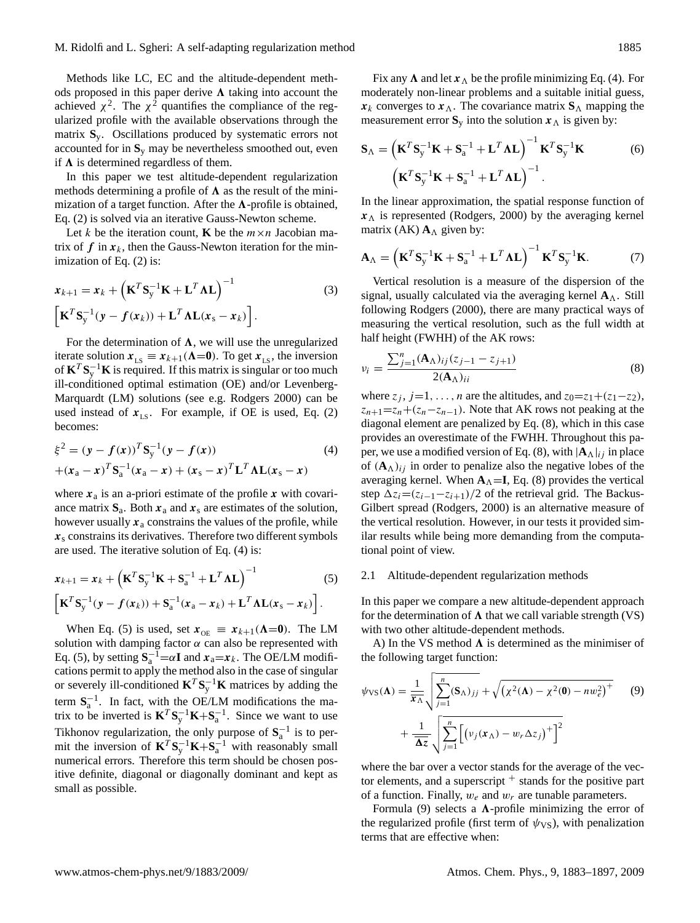Methods like LC, EC and the altitude-dependent methods proposed in this paper derive  $\Lambda$  taking into account the achieved  $\chi^2$ . The  $\chi^2$  quantifies the compliance of the regularized profile with the available observations through the matrix **S**y. Oscillations produced by systematic errors not accounted for in **S**<sup>y</sup> may be nevertheless smoothed out, even if  $\Lambda$  is determined regardless of them.

In this paper we test altitude-dependent regularization methods determining a profile of  $\Lambda$  as the result of the minimization of a target function. After the  $\Lambda$ -profile is obtained, Eq. [\(2\)](#page-1-2) is solved via an iterative Gauss-Newton scheme.

Let k be the iteration count, **K** be the  $m \times n$  Jacobian matrix of  $f$  in  $x_k$ , then the Gauss-Newton iteration for the minimization of Eq. [\(2\)](#page-1-2) is:

<span id="page-2-4"></span>
$$
x_{k+1} = x_k + (\mathbf{K}^T \mathbf{S}_y^{-1} \mathbf{K} + \mathbf{L}^T \mathbf{\Lambda} \mathbf{L})^{-1}
$$
  

$$
[\mathbf{K}^T \mathbf{S}_y^{-1} (\mathbf{y} - f(\mathbf{x}_k)) + \mathbf{L}^T \mathbf{\Lambda} \mathbf{L} (\mathbf{x}_s - \mathbf{x}_k)].
$$
 (3)

For the determination of  $\Lambda$ , we will use the unregularized iterate solution  $x_{LS} \equiv x_{k+1}(\Lambda=0)$ . To get  $x_{LS}$ , the inversion of  $\mathbf{K}^T \mathbf{S}_y^{-1} \mathbf{K}$  is required. If this matrix is singular or too much ill-conditioned optimal estimation (OE) and/or Levenberg-Marquardt (LM) solutions (see e.g. [Rodgers](#page-13-16) [2000\)](#page-13-16) can be used instead of  $x_{LS}$ . For example, if OE is used, Eq. [\(2\)](#page-1-2) becomes:

<span id="page-2-0"></span>
$$
\xi^{2} = (\mathbf{y} - \mathbf{f}(\mathbf{x}))^{T} \mathbf{S}_{y}^{-1} (\mathbf{y} - \mathbf{f}(\mathbf{x}))
$$
\n
$$
+(\mathbf{x}_{a} - \mathbf{x})^{T} \mathbf{S}_{a}^{-1} (\mathbf{x}_{a} - \mathbf{x}) + (\mathbf{x}_{s} - \mathbf{x})^{T} \mathbf{L}^{T} \mathbf{\Lambda} \mathbf{L} (\mathbf{x}_{s} - \mathbf{x})
$$
\n(4)

where  $x_a$  is an a-priori estimate of the profile x with covariance matrix  $S_a$ . Both  $x_a$  and  $x_s$  are estimates of the solution, however usually  $x_a$  constrains the values of the profile, while  $x<sub>s</sub>$  constrains its derivatives. Therefore two different symbols are used. The iterative solution of Eq. [\(4\)](#page-2-0) is:

<span id="page-2-1"></span>
$$
x_{k+1} = x_k + \left(\mathbf{K}^T \mathbf{S}_y^{-1} \mathbf{K} + \mathbf{S}_a^{-1} + \mathbf{L}^T \mathbf{\Lambda} \mathbf{L}\right)^{-1} \tag{5}
$$

$$
\left[\mathbf{K}^T \mathbf{S}_y^{-1} (\mathbf{y} - f(\mathbf{x}_k)) + \mathbf{S}_a^{-1} (\mathbf{x}_a - \mathbf{x}_k) + \mathbf{L}^T \mathbf{\Lambda} \mathbf{L} (\mathbf{x}_s - \mathbf{x}_k)\right].
$$

When Eq. [\(5\)](#page-2-1) is used, set  $x_{OE} \equiv x_{k+1}(\Lambda=0)$ . The LM solution with damping factor  $\alpha$  can also be represented with Eq. [\(5\)](#page-2-1), by setting  $S_a^{-1} = \alpha I$  and  $x_a = x_k$ . The OE/LM modifications permit to apply the method also in the case of singular or severely ill-conditioned  $\mathbf{K}^T \mathbf{S}_{y}^{-1} \mathbf{K}$  matrices by adding the term  $S_a^{-1}$ . In fact, with the OE/LM modifications the matrix to be inverted is  $\mathbf{K}^T \mathbf{S}_{y}^{-1} \mathbf{K} + \mathbf{S}_{a}^{-1}$ . Since we want to use Tikhonov regularization, the only purpose of  $S_a^{-1}$  is to permit the inversion of  $\mathbf{K}^T \mathbf{S}_y^{-1} \mathbf{K} + \mathbf{S}_a^{-1}$  with reasonably small numerical errors. Therefore this term should be chosen positive definite, diagonal or diagonally dominant and kept as small as possible.

Fix any  $\Lambda$  and let  $x_{\Lambda}$  be the profile minimizing Eq. [\(4\)](#page-2-0). For moderately non-linear problems and a suitable initial guess,  $x_k$  converges to  $x_\Lambda$ . The covariance matrix  $S_\Lambda$  mapping the measurement error  $S_y$  into the solution  $x_A$  is given by:

<span id="page-2-5"></span>
$$
\mathbf{S}_{\Lambda} = \left(\mathbf{K}^{T}\mathbf{S}_{y}^{-1}\mathbf{K} + \mathbf{S}_{a}^{-1} + \mathbf{L}^{T}\boldsymbol{\Lambda}\mathbf{L}\right)^{-1}\mathbf{K}^{T}\mathbf{S}_{y}^{-1}\mathbf{K}
$$
(6)  

$$
\left(\mathbf{K}^{T}\mathbf{S}_{y}^{-1}\mathbf{K} + \mathbf{S}_{a}^{-1} + \mathbf{L}^{T}\boldsymbol{\Lambda}\mathbf{L}\right)^{-1}.
$$

In the linear approximation, the spatial response function of  $x<sub>A</sub>$  is represented [\(Rodgers,](#page-13-16) [2000\)](#page-13-16) by the averaging kernel matrix (AK)  $A_{\Lambda}$  given by:

<span id="page-2-6"></span>
$$
\mathbf{A}_{\Lambda} = \left(\mathbf{K}^{T}\mathbf{S}_{y}^{-1}\mathbf{K} + \mathbf{S}_{a}^{-1} + \mathbf{L}^{T}\mathbf{\Lambda}\mathbf{L}\right)^{-1}\mathbf{K}^{T}\mathbf{S}_{y}^{-1}\mathbf{K}.
$$
 (7)

Vertical resolution is a measure of the dispersion of the signal, usually calculated via the averaging kernel  $A_\Lambda$ . Still following [Rodgers](#page-13-16) [\(2000\)](#page-13-16), there are many practical ways of measuring the vertical resolution, such as the full width at half height (FWHH) of the AK rows:

<span id="page-2-2"></span>
$$
v_i = \frac{\sum_{j=1}^{n} (\mathbf{A}_{\Lambda})_{ij} (z_{j-1} - z_{j+1})}{2(\mathbf{A}_{\Lambda})_{ii}} \tag{8}
$$

where  $z_j$ ,  $j=1, \ldots, n$  are the altitudes, and  $z_0=z_1+(z_1-z_2)$ ,  $z_{n+1} = z_n + (z_n - z_{n-1})$ . Note that AK rows not peaking at the diagonal element are penalized by Eq. [\(8\)](#page-2-2), which in this case provides an overestimate of the FWHH. Throughout this pa-per, we use a modified version of Eq. [\(8\)](#page-2-2), with  $|\mathbf{A}_{\Lambda}|_{ij}$  in place of  $(A_{\Lambda})_{ij}$  in order to penalize also the negative lobes of the averaging kernel. When  $A_{\Lambda} = I$ , Eq. [\(8\)](#page-2-2) provides the vertical step  $\Delta z_i=(z_{i-1}-z_{i+1})/2$  of the retrieval grid. The Backus-Gilbert spread [\(Rodgers,](#page-13-16) [2000\)](#page-13-16) is an alternative measure of the vertical resolution. However, in our tests it provided similar results while being more demanding from the computational point of view.

#### 2.1 Altitude-dependent regularization methods

In this paper we compare a new altitude-dependent approach for the determination of  $\Lambda$  that we call variable strength (VS) with two other altitude-dependent methods.

A) In the VS method  $\Lambda$  is determined as the minimiser of the following target function:

<span id="page-2-3"></span>
$$
\psi_{\text{VS}}(\mathbf{\Lambda}) = \frac{1}{\overline{\mathbf{x}}_{\Lambda}} \sqrt{\sum_{j=1}^{n} (\mathbf{S}_{\Lambda})_{jj} + \sqrt{(\chi^{2}(\mathbf{\Lambda}) - \chi^{2}(0) - n w_{e}^{2})^{+}}}
$$
(9)  
+ 
$$
\frac{1}{\overline{\mathbf{\Delta}z}} \sqrt{\sum_{j=1}^{n} \left[ (v_{j}(\mathbf{x}_{\Lambda}) - w_{r} \Delta z_{j})^{+} \right]^{2}}
$$

where the bar over a vector stands for the average of the vector elements, and a superscript  $+$  stands for the positive part of a function. Finally,  $w_e$  and  $w_r$  are tunable parameters.

Formula [\(9\)](#page-2-3) selects a  $\Lambda$ -profile minimizing the error of the regularized profile (first term of  $\psi_{VS}$ ), with penalization terms that are effective when: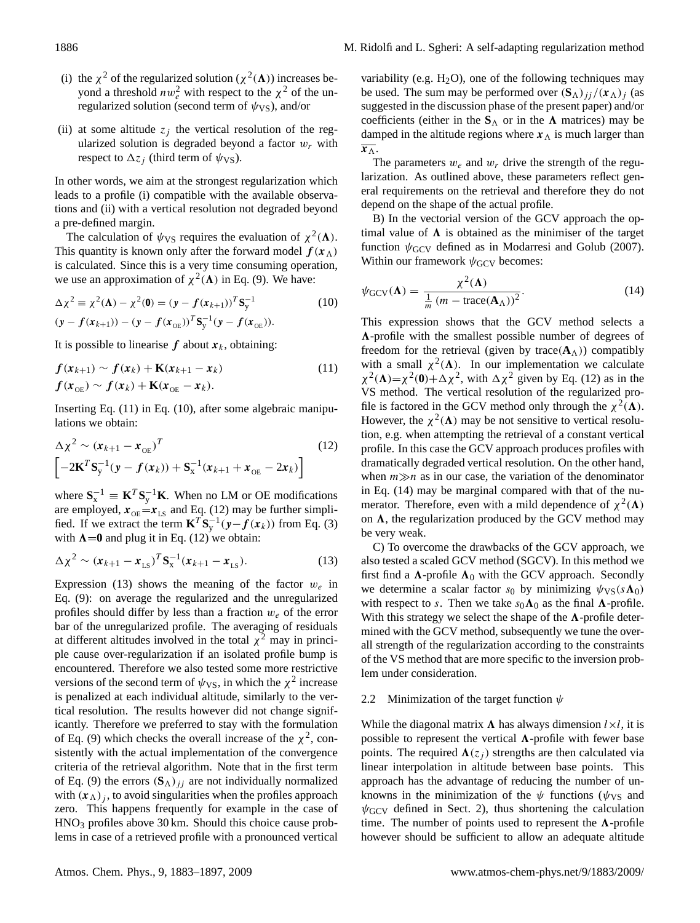- (i) the  $\chi^2$  of the regularized solution ( $\chi^2(\Lambda)$ ) increases beyond a threshold  $nw_e^2$  with respect to the  $\chi^2$  of the unregularized solution (second term of  $\psi$ <sub>VS</sub>), and/or
- (ii) at some altitude  $z_i$  the vertical resolution of the regularized solution is degraded beyond a factor  $w_r$  with respect to  $\Delta z_i$  (third term of  $\psi_{\rm VS}$ ).

In other words, we aim at the strongest regularization which leads to a profile (i) compatible with the available observations and (ii) with a vertical resolution not degraded beyond a pre-defined margin.

The calculation of  $\psi_{VS}$  requires the evaluation of  $\chi^2(\Lambda)$ . This quantity is known only after the forward model  $f(x_{\Lambda})$ is calculated. Since this is a very time consuming operation, we use an approximation of  $\chi^2(\Lambda)$  in Eq. [\(9\)](#page-2-3). We have:

<span id="page-3-1"></span>
$$
\Delta \chi^2 \equiv \chi^2(\mathbf{\Lambda}) - \chi^2(\mathbf{0}) = (\mathbf{y} - f(\mathbf{x}_{k+1}))^T \mathbf{S}_y^{-1}
$$
(10)  

$$
(\mathbf{y} - f(\mathbf{x}_{k+1})) - (\mathbf{y} - f(\mathbf{x}_{\text{OE}}))^T \mathbf{S}_y^{-1} (\mathbf{y} - f(\mathbf{x}_{\text{OE}})).
$$

It is possible to linearise f about  $x_k$ , obtaining:

<span id="page-3-0"></span>
$$
f(\mathbf{x}_{k+1}) \sim f(\mathbf{x}_k) + \mathbf{K}(\mathbf{x}_{k+1} - \mathbf{x}_k)
$$
  
\n
$$
f(\mathbf{x}_{\text{OE}}) \sim f(\mathbf{x}_k) + \mathbf{K}(\mathbf{x}_{\text{OE}} - \mathbf{x}_k).
$$
\n(11)

Inserting Eq. [\(11\)](#page-3-0) in Eq. [\(10\)](#page-3-1), after some algebraic manipulations we obtain:

<span id="page-3-2"></span>
$$
\Delta \chi^2 \sim (\mathbf{x}_{k+1} - \mathbf{x}_{\text{OE}})^T
$$
\n
$$
\left[ -2\mathbf{K}^T \mathbf{S}_y^{-1} (\mathbf{y} - \mathbf{f}(\mathbf{x}_k)) + \mathbf{S}_x^{-1} (\mathbf{x}_{k+1} + \mathbf{x}_{\text{OE}} - 2\mathbf{x}_k) \right]
$$
\n(12)

where  $S_x^{-1} \equiv K^T S_y^{-1} K$ . When no LM or OE modifications are employed,  $x_{OE} = x_{LS}$  and Eq. [\(12\)](#page-3-2) may be further simplified. If we extract the term  $\mathbf{K}^T \mathbf{S}_y^{-1}(\mathbf{y} - \mathbf{f}(\mathbf{x}_k))$  from Eq. [\(3\)](#page-2-4) with  $\Lambda = 0$  and plug it in Eq. [\(12\)](#page-3-2) we obtain:

<span id="page-3-3"></span>
$$
\Delta \chi^2 \sim (x_{k+1} - x_{LS})^T S_{x}^{-1} (x_{k+1} - x_{LS}).
$$
 (13)

Expression [\(13\)](#page-3-3) shows the meaning of the factor  $w_e$  in Eq. [\(9\)](#page-2-3): on average the regularized and the unregularized profiles should differ by less than a fraction  $w_e$  of the error bar of the unregularized profile. The averaging of residuals at different altitudes involved in the total  $\chi^2$  may in principle cause over-regularization if an isolated profile bump is encountered. Therefore we also tested some more restrictive versions of the second term of  $\psi_{VS}$ , in which the  $\chi^2$  increase is penalized at each individual altitude, similarly to the vertical resolution. The results however did not change significantly. Therefore we preferred to stay with the formulation of Eq. [\(9\)](#page-2-3) which checks the overall increase of the  $\chi^2$ , consistently with the actual implementation of the convergence criteria of the retrieval algorithm. Note that in the first term of Eq. [\(9\)](#page-2-3) the errors  $(S_{\Lambda})_{jj}$  are not individually normalized with  $(x_{\Lambda})_j$ , to avoid singularities when the profiles approach zero. This happens frequently for example in the case of  $HNO<sub>3</sub>$  profiles above 30 km. Should this choice cause problems in case of a retrieved profile with a pronounced vertical

variability (e.g.  $H_2O$ ), one of the following techniques may be used. The sum may be performed over  $(\mathbf{S}_{\Lambda})_{ij}/(\mathbf{x}_{\Lambda})_{j}$  (as suggested in the discussion phase of the present paper) and/or coefficients (either in the  $S_\Lambda$  or in the  $\Lambda$  matrices) may be damped in the altitude regions where  $x<sub>A</sub>$  is much larger than  $\overline{x_{\Lambda}}$ .

The parameters  $w_e$  and  $w_r$  drive the strength of the regularization. As outlined above, these parameters reflect general requirements on the retrieval and therefore they do not depend on the shape of the actual profile.

B) In the vectorial version of the GCV approach the optimal value of  $\Lambda$  is obtained as the minimiser of the target function  $\psi$ <sub>GCV</sub> defined as in [Modarresi and Golub](#page-13-14) [\(2007\)](#page-13-14). Within our framework  $\psi$ <sub>GCV</sub> becomes:

<span id="page-3-4"></span>
$$
\psi_{\rm GCV}(\Lambda) = \frac{\chi^2(\Lambda)}{\frac{1}{m} (m - \text{trace}(\mathbf{A}_{\Lambda}))^2}.
$$
 (14)

This expression shows that the GCV method selects a  $\Lambda$ -profile with the smallest possible number of degrees of freedom for the retrieval (given by trace( $\mathbf{A}_{\Lambda}$ )) compatibly with a small  $\chi^2(\Lambda)$ . In our implementation we calculate  $\chi^2(\Lambda) = \chi^2(0) + \Delta \chi^2$ , with  $\Delta \chi^2$  given by Eq. [\(12\)](#page-3-2) as in the VS method. The vertical resolution of the regularized profile is factored in the GCV method only through the  $\chi^2(\Lambda)$ . However, the  $\chi^2(\Lambda)$  may be not sensitive to vertical resolution, e.g. when attempting the retrieval of a constant vertical profile. In this case the GCV approach produces profiles with dramatically degraded vertical resolution. On the other hand, when  $m \gg n$  as in our case, the variation of the denominator in Eq. [\(14\)](#page-3-4) may be marginal compared with that of the numerator. Therefore, even with a mild dependence of  $\chi^2(\Lambda)$ on  $\Lambda$ , the regularization produced by the GCV method may be very weak.

C) To overcome the drawbacks of the GCV approach, we also tested a scaled GCV method (SGCV). In this method we first find a  $\Lambda$ -profile  $\Lambda_0$  with the GCV approach. Secondly we determine a scalar factor  $s_0$  by minimizing  $\psi_{VS}(s\Lambda_0)$ with respect to s. Then we take  $s_0\Lambda_0$  as the final  $\Lambda$ -profile. With this strategy we select the shape of the  $\Lambda$ -profile determined with the GCV method, subsequently we tune the overall strength of the regularization according to the constraints of the VS method that are more specific to the inversion problem under consideration.

## 2.2 Minimization of the target function  $\psi$

While the diagonal matrix  $\Lambda$  has always dimension  $l \times l$ , it is possible to represent the vertical  $\Lambda$ -profile with fewer base points. The required  $\Lambda(z_i)$  strengths are then calculated via linear interpolation in altitude between base points. This approach has the advantage of reducing the number of unknowns in the minimization of the  $\psi$  functions ( $\psi$ <sub>VS</sub> and  $\psi$ <sub>GCV</sub> defined in Sect. [2\)](#page-1-0), thus shortening the calculation time. The number of points used to represent the  $\Lambda$ -profile however should be sufficient to allow an adequate altitude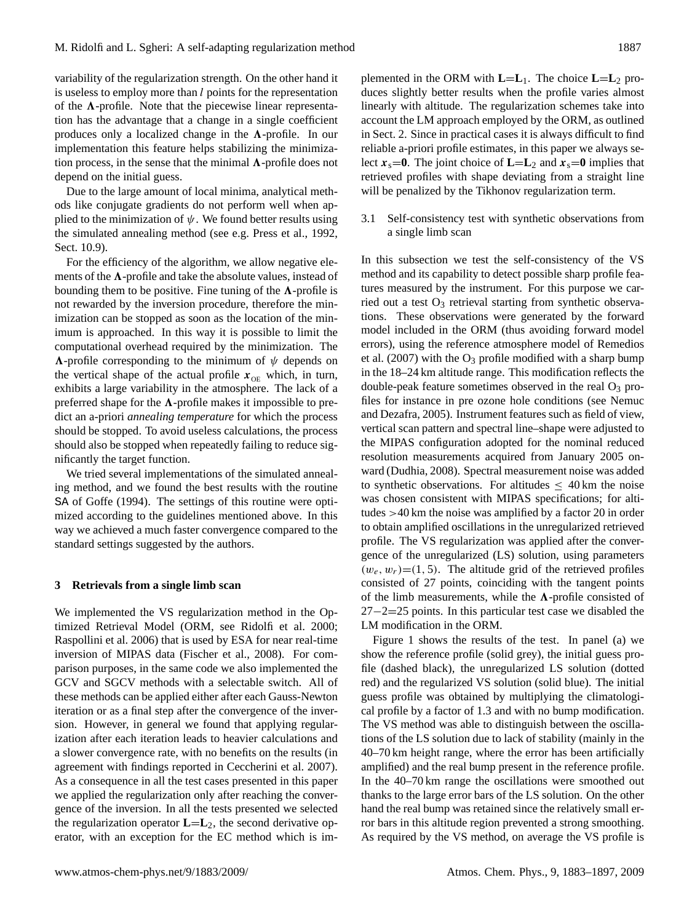variability of the regularization strength. On the other hand it is useless to employ more than  $l$  points for the representation of the  $\Lambda$ -profile. Note that the piecewise linear representation has the advantage that a change in a single coefficient produces only a localized change in the  $\Lambda$ -profile. In our implementation this feature helps stabilizing the minimization process, in the sense that the minimal  $\Lambda$ -profile does not depend on the initial guess.

Due to the large amount of local minima, analytical methods like conjugate gradients do not perform well when applied to the minimization of  $\psi$ . We found better results using the simulated annealing method (see e.g. [Press et al.,](#page-13-17) [1992,](#page-13-17) Sect. 10.9).

For the efficiency of the algorithm, we allow negative elements of the  $\Lambda$ -profile and take the absolute values, instead of bounding them to be positive. Fine tuning of the  $\Lambda$ -profile is not rewarded by the inversion procedure, therefore the minimization can be stopped as soon as the location of the minimum is approached. In this way it is possible to limit the computational overhead required by the minimization. The  $\Lambda$ -profile corresponding to the minimum of  $\psi$  depends on the vertical shape of the actual profile  $x_{OE}$  which, in turn, exhibits a large variability in the atmosphere. The lack of a preferred shape for the  $\Lambda$ -profile makes it impossible to predict an a-priori *annealing temperature* for which the process should be stopped. To avoid useless calculations, the process should also be stopped when repeatedly failing to reduce significantly the target function.

We tried several implementations of the simulated annealing method, and we found the best results with the routine SA of [Goffe](#page-13-18) [\(1994\)](#page-13-18). The settings of this routine were optimized according to the guidelines mentioned above. In this way we achieved a much faster convergence compared to the standard settings suggested by the authors.

## <span id="page-4-0"></span>**3 Retrievals from a single limb scan**

We implemented the VS regularization method in the Optimized Retrieval Model (ORM, see [Ridolfi et al.](#page-13-1) [2000;](#page-13-1) [Raspollini et al.](#page-13-2) [2006\)](#page-13-2) that is used by ESA for near real-time inversion of MIPAS data [\(Fischer et al.,](#page-13-0) [2008\)](#page-13-0). For comparison purposes, in the same code we also implemented the GCV and SGCV methods with a selectable switch. All of these methods can be applied either after each Gauss-Newton iteration or as a final step after the convergence of the inversion. However, in general we found that applying regularization after each iteration leads to heavier calculations and a slower convergence rate, with no benefits on the results (in agreement with findings reported in [Ceccherini et al.](#page-13-19) [2007\)](#page-13-19). As a consequence in all the test cases presented in this paper we applied the regularization only after reaching the convergence of the inversion. In all the tests presented we selected the regularization operator  $\mathbf{L} = \mathbf{L}_2$ , the second derivative operator, with an exception for the EC method which is implemented in the ORM with  $\mathbf{L}=\mathbf{L}_1$ . The choice  $\mathbf{L}=\mathbf{L}_2$  produces slightly better results when the profile varies almost linearly with altitude. The regularization schemes take into account the LM approach employed by the ORM, as outlined in Sect. [2.](#page-1-0) Since in practical cases it is always difficult to find reliable a-priori profile estimates, in this paper we always select  $x_s = 0$ . The joint choice of  $\mathbf{L} = \mathbf{L}_2$  and  $x_s = 0$  implies that retrieved profiles with shape deviating from a straight line will be penalized by the Tikhonov regularization term.

<span id="page-4-1"></span>3.1 Self-consistency test with synthetic observations from a single limb scan

In this subsection we test the self-consistency of the VS method and its capability to detect possible sharp profile features measured by the instrument. For this purpose we carried out a test  $O_3$  retrieval starting from synthetic observations. These observations were generated by the forward model included in the ORM (thus avoiding forward model errors), using the reference atmosphere model of [Remedios](#page-13-20) [et al.](#page-13-20)  $(2007)$  with the O<sub>3</sub> profile modified with a sharp bump in the 18–24 km altitude range. This modification reflects the double-peak feature sometimes observed in the real  $O_3$  profiles for instance in pre ozone hole conditions (see [Nemuc](#page-13-21) [and Dezafra,](#page-13-21) [2005\)](#page-13-21). Instrument features such as field of view, vertical scan pattern and spectral line–shape were adjusted to the MIPAS configuration adopted for the nominal reduced resolution measurements acquired from January 2005 onward [\(Dudhia,](#page-13-22) [2008\)](#page-13-22). Spectral measurement noise was added to synthetic observations. For altitudes  $\leq 40$  km the noise was chosen consistent with MIPAS specifications; for altitudes >40 km the noise was amplified by a factor 20 in order to obtain amplified oscillations in the unregularized retrieved profile. The VS regularization was applied after the convergence of the unregularized (LS) solution, using parameters  $(w_e, w_r) = (1, 5)$ . The altitude grid of the retrieved profiles consisted of 27 points, coinciding with the tangent points of the limb measurements, while the  $\Lambda$ -profile consisted of 27−2=25 points. In this particular test case we disabled the LM modification in the ORM.

Figure [1](#page-5-0) shows the results of the test. In panel (a) we show the reference profile (solid grey), the initial guess profile (dashed black), the unregularized LS solution (dotted red) and the regularized VS solution (solid blue). The initial guess profile was obtained by multiplying the climatological profile by a factor of 1.3 and with no bump modification. The VS method was able to distinguish between the oscillations of the LS solution due to lack of stability (mainly in the 40–70 km height range, where the error has been artificially amplified) and the real bump present in the reference profile. In the 40–70 km range the oscillations were smoothed out thanks to the large error bars of the LS solution. On the other hand the real bump was retained since the relatively small error bars in this altitude region prevented a strong smoothing. As required by the VS method, on average the VS profile is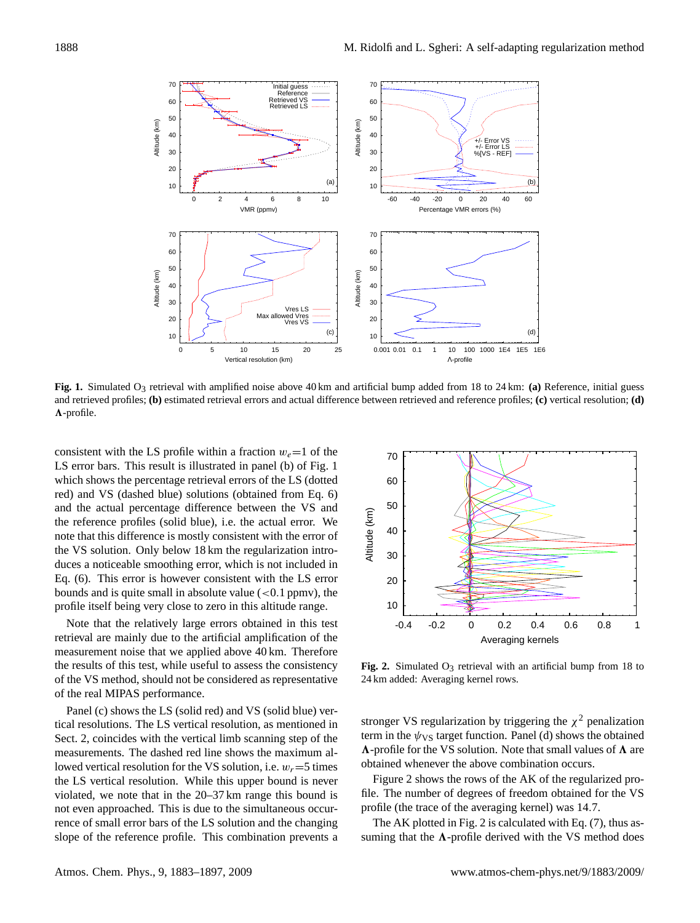

<span id="page-5-0"></span>and retrieved profiles; (b) estimated retrieval errors and actual difference between retrieved and reference profiles; (c) vertical resolution; (d) **Fig. 1.** Simulated O<sub>3</sub> retrieval with amplified noise above 40 km and artificial bump added from 18 to 24 km: (a) Reference, initial guess  $\Lambda$ -profile.

Eq. [\(6\)](#page-2-5). This error is however consistent with the LS error duces a noticeable smoothing error, which is not included in the VS solution. Only below 18 km the regularization intro- $\ddot{\phantom{0}}$  50 and the actual percentage difference between the VS and red) and VS (dashed blue) solutions (obtained from Eq. [6\)](#page-2-5) which shows the percentage retrieval errors of the LS (dotted bounds and is quite small in absolute value  $(< 0.1$  ppmv), the  $\geq$ a<br>it<br>Du consistent with the LS profile within a fraction  $w_e=1$  of the LS error bars. This result is illustrated in panel (b) of Fig. [1](#page-5-0) the reference profiles (solid blue), i.e. the actual error. We note that this difference is mostly consistent with the error of profile itself being very close to zero in this altitude range.

retrieval are mainly due to the artificial amplification of the **Averaging** Averaging Note that the relatively large errors obtained in this test measurement noise that we applied above 40 km. Therefore the results of this test, while useful to assess the consistency of the VS method, should not be considered as representative of the real MIPAS performance.

Panel (c) shows the LS (solid red) and VS (solid blue) vertical resolutions. The LS vertical resolution, as mentioned in Sect. [2,](#page-1-0) coincides with the vertical limb scanning step of the measurements. The dashed red line shows the maximum allowed vertical resolution for the VS solution, i.e.  $w_r = 5$  times the LS vertical resolution. While this upper bound is never violated, we note that in the 20–37 km range this bound is not even approached. This is due to the simultaneous occurrence of small error bars of the LS solution and the changing slope of the reference profile. This combination prevents a



<span id="page-5-1"></span>**Fig. 2.** Simulated  $O_3$  retrieval with an artificial bump from 18 to 24 km added: Averaging kernel rows.

stronger VS regularization by triggering the  $\chi^2$  penalization term in the  $\psi$ <sub>VS</sub> target function. Panel (d) shows the obtained  $\Lambda$ -profile for the VS solution. Note that small values of  $\Lambda$  are obtained whenever the above combination occurs.

Figure [2](#page-5-1) shows the rows of the AK of the regularized profile. The number of degrees of freedom obtained for the VS profile (the trace of the averaging kernel) was 14.7.

The AK plotted in Fig. [2](#page-5-1) is calculated with Eq. [\(7\)](#page-2-6), thus assuming that the  $\Lambda$ -profile derived with the VS method does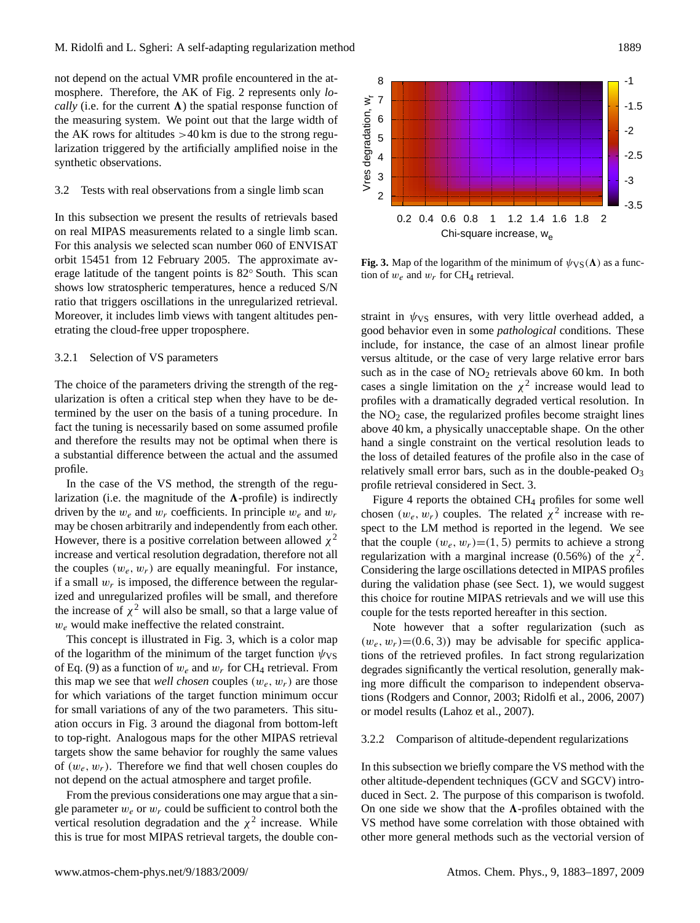not depend on the actual VMR profile encountered in the atmosphere. Therefore, the AK of Fig. [2](#page-5-1) represents only *locally* (i.e. for the current  $\Lambda$ ) the spatial response function of the measuring system. We point out that the large width of the AK rows for altitudes  $>40$  km is due to the strong regularization triggered by the artificially amplified noise in the synthetic observations.

#### 3.2 Tests with real observations from a single limb scan

In this subsection we present the results of retrievals based on real MIPAS measurements related to a single limb scan. For this analysis we selected scan number 060 of ENVISAT orbit 15451 from 12 February 2005. The approximate average latitude of the tangent points is 82◦ South. This scan shows low stratospheric temperatures, hence a reduced S/N ratio that triggers oscillations in the unregularized retrieval. Moreover, it includes limb views with tangent altitudes penetrating the cloud-free upper troposphere.

## <span id="page-6-1"></span>3.2.1 Selection of VS parameters

The choice of the parameters driving the strength of the regularization is often a critical step when they have to be determined by the user on the basis of a tuning procedure. In fact the tuning is necessarily based on some assumed profile and therefore the results may not be optimal when there is a substantial difference between the actual and the assumed profile.

In the case of the VS method, the strength of the regularization (i.e. the magnitude of the  $\Lambda$ -profile) is indirectly driven by the  $w_e$  and  $w_r$  coefficients. In principle  $w_e$  and  $w_r$ may be chosen arbitrarily and independently from each other. However, there is a positive correlation between allowed  $\chi^2$ increase and vertical resolution degradation, therefore not all the couples  $(w_e, w_r)$  are equally meaningful. For instance, if a small  $w_r$  is imposed, the difference between the regularized and unregularized profiles will be small, and therefore the increase of  $\chi^2$  will also be small, so that a large value of  $w_e$  would make ineffective the related constraint.

This concept is illustrated in Fig. [3,](#page-6-0) which is a color map of the logarithm of the minimum of the target function  $\psi_{VS}$ of Eq. [\(9\)](#page-2-3) as a function of  $w_e$  and  $w_r$  for CH<sub>4</sub> retrieval. From this map we see that *well chosen* couples  $(w_e, w_r)$  are those for which variations of the target function minimum occur for small variations of any of the two parameters. This situation occurs in Fig. [3](#page-6-0) around the diagonal from bottom-left to top-right. Analogous maps for the other MIPAS retrieval targets show the same behavior for roughly the same values of  $(w_e, w_r)$ . Therefore we find that well chosen couples do not depend on the actual atmosphere and target profile.

From the previous considerations one may argue that a single parameter  $w_e$  or  $w_r$  could be sufficient to control both the vertical resolution degradation and the  $\chi^2$  increase. While this is true for most MIPAS retrieval targets, the double con-



<span id="page-6-0"></span>**Fig. 3.** Map of the logarithm of the minimum of  $\psi_{VS}(\Lambda)$  as a function of  $w_e$  and  $w_r$  for CH<sub>4</sub> retrieval.

straint in  $\psi_{VS}$  ensures, with very little overhead added, a good behavior even in some *pathological* conditions. These include, for instance, the case of an almost linear profile versus altitude, or the case of very large relative error bars such as in the case of  $NO<sub>2</sub>$  retrievals above 60 km. In both cases a single limitation on the  $\chi^2$  increase would lead to profiles with a dramatically degraded vertical resolution. In the  $NO<sub>2</sub>$  case, the regularized profiles become straight lines above 40 km, a physically unacceptable shape. On the other hand a single constraint on the vertical resolution leads to the loss of detailed features of the profile also in the case of relatively small error bars, such as in the double-peaked  $O_3$ profile retrieval considered in Sect. [3.](#page-4-0)

Figure [4](#page-7-1) reports the obtained CH<sup>4</sup> profiles for some well chosen  $(w_e, w_r)$  couples. The related  $\chi^2$  increase with respect to the LM method is reported in the legend. We see that the couple  $(w_e, w_r) = (1, 5)$  permits to achieve a strong regularization with a marginal increase (0.56%) of the  $\chi^2$ . Considering the large oscillations detected in MIPAS profiles during the validation phase (see Sect. [1\)](#page-0-1), we would suggest this choice for routine MIPAS retrievals and we will use this couple for the tests reported hereafter in this section.

Note however that a softer regularization (such as  $(w_e, w_r)$ =(0.6, 3)) may be advisable for specific applications of the retrieved profiles. In fact strong regularization degrades significantly the vertical resolution, generally making more difficult the comparison to independent observations [\(Rodgers and Connor,](#page-13-23) [2003;](#page-13-23) [Ridolfi et al.,](#page-13-24) [2006,](#page-13-24) [2007\)](#page-13-25) or model results [\(Lahoz et al.,](#page-13-26) [2007\)](#page-13-26).

#### 3.2.2 Comparison of altitude-dependent regularizations

In this subsection we briefly compare the VS method with the other altitude-dependent techniques (GCV and SGCV) introduced in Sect. [2.](#page-1-0) The purpose of this comparison is twofold. On one side we show that the  $\Lambda$ -profiles obtained with the VS method have some correlation with those obtained with other more general methods such as the vectorial version of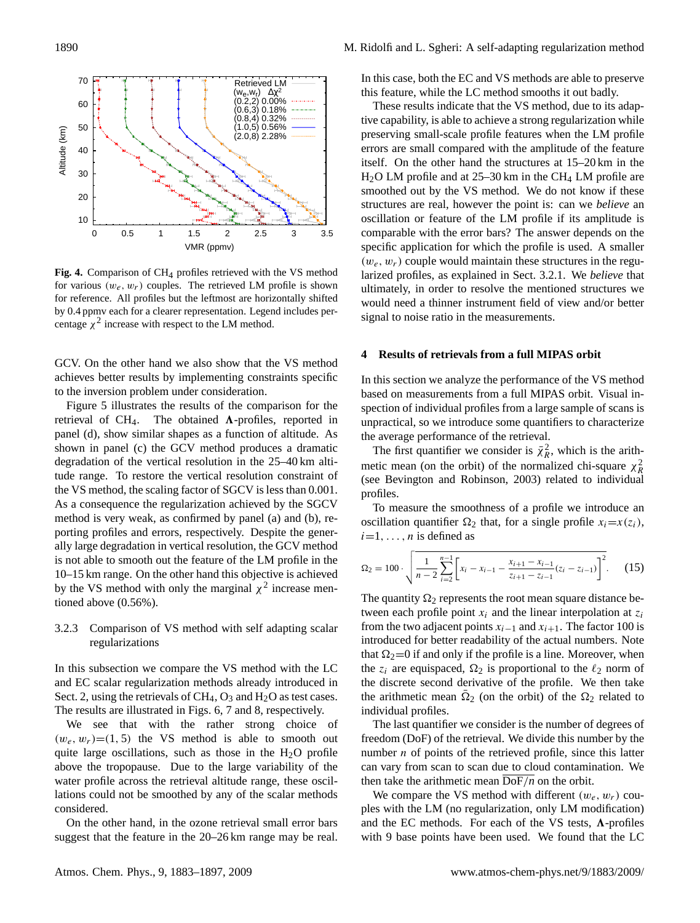

<span id="page-7-1"></span>**Fig. 4.** Comparison of CH4 profiles retrieved with the VS method for various  $(w_e, w_r)$  couples. The retrieved LM profile is shown for reference. All profiles but the leftmost are horizontally shifted by 0.4 ppmv each for a clearer representation. Legend includes percentage  $\chi^2$  increase with respect to the LM method.

GCV. On the other hand we also show that the VS method achieves better results by implementing constraints specific to the inversion problem under consideration.

Figure [5](#page-8-0) illustrates the results of the comparison for the retrieval of CH<sub>4</sub>. The obtained  $\Lambda$ -profiles, reported in panel (d), show similar shapes as a function of altitude. As shown in panel (c) the GCV method produces a dramatic degradation of the vertical resolution in the 25–40 km altitude range. To restore the vertical resolution constraint of the VS method, the scaling factor of SGCV is less than 0.001. As a consequence the regularization achieved by the SGCV method is very weak, as confirmed by panel (a) and (b), reporting profiles and errors, respectively. Despite the generally large degradation in vertical resolution, the GCV method is not able to smooth out the feature of the LM profile in the 10–15 km range. On the other hand this objective is achieved by the VS method with only the marginal  $\chi^2$  increase mentioned above (0.56%).

## 3.2.3 Comparison of VS method with self adapting scalar regularizations

In this subsection we compare the VS method with the LC and EC scalar regularization methods already introduced in Sect. [2,](#page-1-0) using the retrievals of  $CH_4$ ,  $O_3$  and  $H_2O$  as test cases. The results are illustrated in Figs. [6,](#page-8-1) [7](#page-8-2) and [8,](#page-10-0) respectively.

We see that with the rather strong choice of  $(w_e, w_r) = (1, 5)$  the VS method is able to smooth out quite large oscillations, such as those in the  $H_2O$  profile above the tropopause. Due to the large variability of the water profile across the retrieval altitude range, these oscillations could not be smoothed by any of the scalar methods considered.

On the other hand, in the ozone retrieval small error bars suggest that the feature in the 20–26 km range may be real. In this case, both the EC and VS methods are able to preserve this feature, while the LC method smooths it out badly.

These results indicate that the VS method, due to its adaptive capability, is able to achieve a strong regularization while preserving small-scale profile features when the LM profile errors are small compared with the amplitude of the feature itself. On the other hand the structures at 15–20 km in the  $H<sub>2</sub>O LM$  profile and at 25–30 km in the CH<sub>4</sub> LM profile are smoothed out by the VS method. We do not know if these structures are real, however the point is: can we *believe* an oscillation or feature of the LM profile if its amplitude is comparable with the error bars? The answer depends on the specific application for which the profile is used. A smaller  $(w_e, w_r)$  couple would maintain these structures in the regularized profiles, as explained in Sect. [3.2.1.](#page-6-1) We *believe* that ultimately, in order to resolve the mentioned structures we would need a thinner instrument field of view and/or better signal to noise ratio in the measurements.

## <span id="page-7-0"></span>**4 Results of retrievals from a full MIPAS orbit**

In this section we analyze the performance of the VS method based on measurements from a full MIPAS orbit. Visual inspection of individual profiles from a large sample of scans is unpractical, so we introduce some quantifiers to characterize the average performance of the retrieval.

The first quantifier we consider is  $\bar{\chi}^2_R$ , which is the arithmetic mean (on the orbit) of the normalized chi-square  $\chi^2$ (see [Bevington and Robinson,](#page-12-2) [2003\)](#page-12-2) related to individual profiles.

To measure the smoothness of a profile we introduce an oscillation quantifier  $\Omega_2$  that, for a single profile  $x_i=x(z_i)$ ,  $i=1, \ldots, n$  is defined as

$$
\Omega_2 = 100 \cdot \sqrt{\frac{1}{n-2} \sum_{i=2}^{n-1} \left[ x_i - x_{i-1} - \frac{x_{i+1} - x_{i-1}}{z_{i+1} - z_{i-1}} (z_i - z_{i-1}) \right]^2}. \tag{15}
$$

The quantity  $\Omega_2$  represents the root mean square distance between each profile point  $x_i$  and the linear interpolation at  $z_i$ from the two adjacent points  $x_{i-1}$  and  $x_{i+1}$ . The factor 100 is introduced for better readability of the actual numbers. Note that  $\Omega_2=0$  if and only if the profile is a line. Moreover, when the  $z_i$  are equispaced,  $\Omega_2$  is proportional to the  $\ell_2$  norm of the discrete second derivative of the profile. We then take the arithmetic mean  $\overline{\Omega}_2$  (on the orbit) of the  $\Omega_2$  related to individual profiles.

The last quantifier we consider is the number of degrees of freedom (DoF) of the retrieval. We divide this number by the number  $n$  of points of the retrieved profile, since this latter can vary from scan to scan due to cloud contamination. We then take the arithmetic mean DoF/*n* on the orbit.

We compare the VS method with different  $(w_e, w_r)$  couples with the LM (no regularization, only LM modification) and the EC methods. For each of the VS tests,  $\Lambda$ -profiles with 9 base points have been used. We found that the LC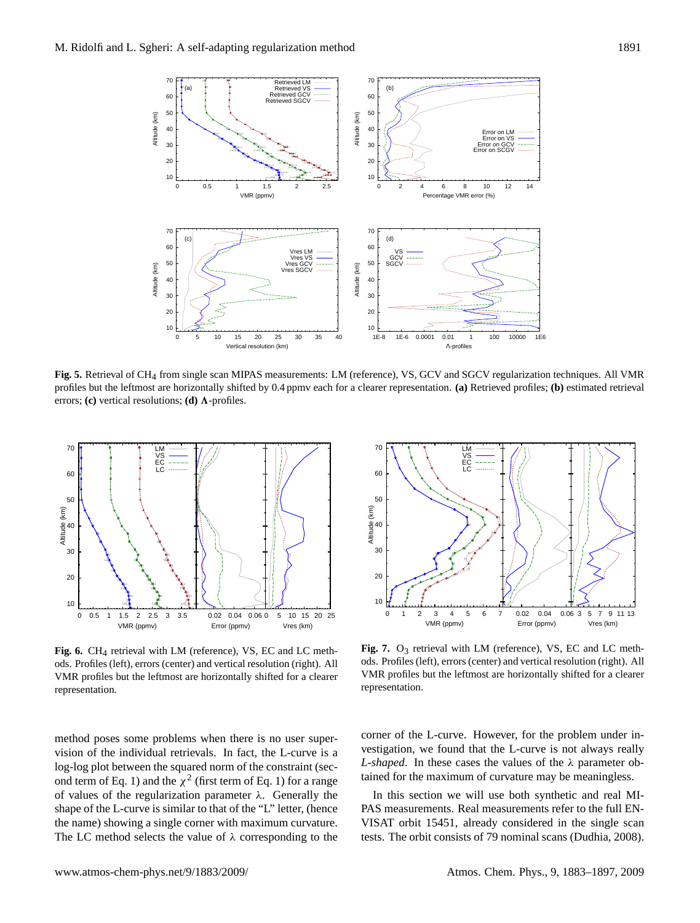

<span id="page-8-0"></span>profiles but the leftmost are horizontally shifted by 0.4 ppmv each for a clearer representation. (a) Retrieved profiles; (b) estimated retrieval errors; **(c)** vertical resolutions; **(d)**  $\Lambda$ -profiles. **Fig. 5.** Retrieval of CH4 from single scan MIPAS measurements: LM (reference), VS, GCV and SGCV regularization techniques. All VMR



<span id="page-8-1"></span>**Fig. 6.** CH4 retrieval with LM (reference), VS, EC and LC methods. Profiles (left), errors (center) and vertical resolution (right). All VMR profiles but the leftmost are horizontally shifted for a clearer representation.

method poses some problems when there is no user supervision of the individual retrievals. In fact, the L-curve is a log-log plot between the squared norm of the constraint (sec-ond term of Eq. [1\)](#page-1-1) and the  $\chi^2$  (first term of Eq. 1) for a range of values of the regularization parameter  $\lambda$ . Generally the shape of the L-curve is similar to that of the "L" letter, (hence the name) showing a single corner with maximum curvature. The LC method selects the value of  $\lambda$  corresponding to the



<span id="page-8-2"></span>**Fig. 7.** O<sub>3</sub> retrieval with LM (reference), VS, EC and LC methods. Profiles (left), errors (center) and vertical resolution (right). All VMR profiles but the leftmost are horizontally shifted for a clearer representation.

corner of the L-curve. However, for the problem under investigation, we found that the L-curve is not always really *L-shaped*. In these cases the values of the λ parameter obtained for the maximum of curvature may be meaningless.

In this section we will use both synthetic and real MI-PAS measurements. Real measurements refer to the full EN-VISAT orbit 15451, already considered in the single scan tests. The orbit consists of 79 nominal scans [\(Dudhia,](#page-13-22) [2008\)](#page-13-22).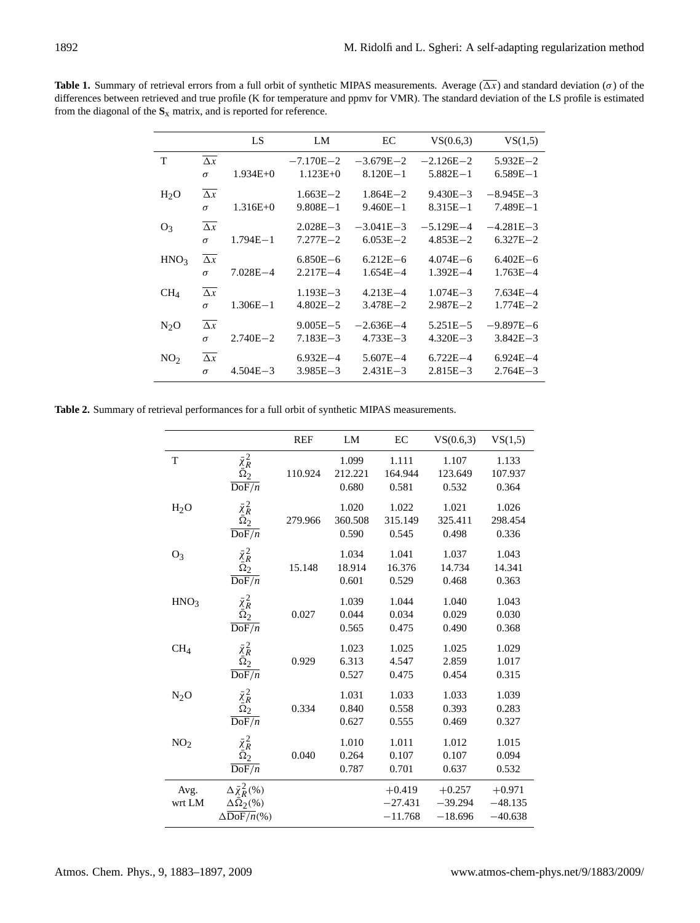<span id="page-9-0"></span>**Table 1.** Summary of retrieval errors from a full orbit of synthetic MIPAS measurements. Average  $(\overline{\Delta x})$  and standard deviation ( $\sigma$ ) of the differences between retrieved and true profile (K for temperature and ppmv for VMR). The standard deviation of the LS profile is estimated from the diagonal of the **S**x matrix, and is reported for reference.

|                  |                       | LS           | LM            | EC            | VS(0.6,3)     | VS(1,5)       |
|------------------|-----------------------|--------------|---------------|---------------|---------------|---------------|
| T                | $\Delta x$            |              | $-7.170E - 2$ | $-3.679E - 2$ | $-2.126E - 2$ | $5.932E - 2$  |
|                  | $\sigma$              | $1.934E+0$   | $1.123E+0$    | $8.120E - 1$  | $5.882E - 1$  | $6.589E - 1$  |
| H <sub>2</sub> O | $\Delta x$            |              | $1.663E - 2$  | $1.864E - 2$  | $9.430E - 3$  | $-8.945E - 3$ |
|                  | $\sigma$              | $1.316E+0$   | $9.808E - 1$  | $9.460E - 1$  | $8.315E - 1$  | $7.489E - 1$  |
| O <sub>3</sub>   | $\Delta x$            |              | $2.028E - 3$  | $-3.041E-3$   | $-5.129E - 4$ | $-4.281E - 3$ |
|                  | $\sigma$              | $1.794E - 1$ | $7.277E - 2$  | $6.053E - 2$  | $4.853E - 2$  | $6.327E - 2$  |
| HNO <sub>3</sub> | $\Delta x$            |              | $6.850E - 6$  | $6.212E - 6$  | $4.074E - 6$  | $6.402E - 6$  |
|                  | $\sigma$              | $7.028E - 4$ | $2.217E - 4$  | $1.654E - 4$  | $1.392E - 4$  | $1.763E - 4$  |
| CH <sub>4</sub>  | $\overline{\Delta x}$ |              | $1.193E - 3$  | $4.213E - 4$  | $1.074E - 3$  | $7.634E - 4$  |
|                  | $\sigma$              | $1.306E - 1$ | $4.802E - 2$  | $3.478E - 2$  | $2.987E - 2$  | $1.774E - 2$  |
| $N_2O$           | $\Delta x$            |              | $9.005E - 5$  | $-2.636E - 4$ | $5.251E - 5$  | $-9.897E - 6$ |
|                  | $\sigma$              | $2.740E - 2$ | $7.183E - 3$  | $4.733E - 3$  | $4.320E - 3$  | $3.842E - 3$  |
| NO <sub>2</sub>  | $\Delta x$            |              | $6.932E - 4$  | $5.607E - 4$  | $6.722E - 4$  | $6.924E - 4$  |
|                  | $\sigma$              | $4.504E - 3$ | $3.985E - 3$  | $2.431E - 3$  | $2.815E - 3$  | $2.764E - 3$  |

<span id="page-9-1"></span>**Table 2.** Summary of retrieval performances for a full orbit of synthetic MIPAS measurements.

|                  |                                                                                              | <b>REF</b> | LM                        | EC                                 | VS(0.6,3)                          | VS(1,5)                            |
|------------------|----------------------------------------------------------------------------------------------|------------|---------------------------|------------------------------------|------------------------------------|------------------------------------|
| T                | $\bar{\chi}^2_R \over \bar{\Omega}_2$<br>$\overline{\text{DoF}/n}$                           | 110.924    | 1.099<br>212.221<br>0.680 | 1.111<br>164.944<br>0.581          | 1.107<br>123.649<br>0.532          | 1.133<br>107.937<br>0.364          |
| H <sub>2</sub> O | $\bar{\chi}^2_R$ $\bar{\Omega}^2_2$<br>$\overline{\text{DoF}/n}$                             | 279.966    | 1.020<br>360.508<br>0.590 | 1.022<br>315.149<br>0.545          | 1.021<br>325.411<br>0.498          | 1.026<br>298.454<br>0.336          |
| $O_3$            | $\bar{\chi}^2_R$ $\bar{\Omega}_2$<br>$\overline{\text{DoF}/n}$                               | 15.148     | 1.034<br>18.914<br>0.601  | 1.041<br>16.376<br>0.529           | 1.037<br>14.734<br>0.468           | 1.043<br>14.341<br>0.363           |
| HNO <sub>3</sub> | $\bar{\chi}^2_R \over \bar{\Omega}_2$<br>$\overline{\text{DoF}/n}$                           | 0.027      | 1.039<br>0.044<br>0.565   | 1.044<br>0.034<br>0.475            | 1.040<br>0.029<br>0.490            | 1.043<br>0.030<br>0.368            |
| CH <sub>4</sub>  | $\bar{\chi}^2_R \over \bar{\Omega}_2$<br>$\overline{\mathrm{DoF}/n}$                         | 0.929      | 1.023<br>6.313<br>0.527   | 1.025<br>4.547<br>0.475            | 1.025<br>2.859<br>0.454            | 1.029<br>1.017<br>0.315            |
| N <sub>2</sub> O | $\bar{\chi}^2_R \bar{\tilde{\Omega}}^2_2$<br>$\overline{\mathrm{DoF}/n}$                     | 0.334      | 1.031<br>0.840<br>0.627   | 1.033<br>0.558<br>0.555            | 1.033<br>0.393<br>0.469            | 1.039<br>0.283<br>0.327            |
| NO <sub>2</sub>  | $\bar{\chi}^2_R$ $\bar{\Omega}^2_2$<br>$\overline{\text{DoF}/n}$                             | 0.040      | 1.010<br>0.264<br>0.787   | 1.011<br>0.107<br>0.701            | 1.012<br>0.107<br>0.637            | 1.015<br>0.094<br>0.532            |
| Avg.<br>wrt LM   | $\Delta \bar{\chi}^2_R$ (%)<br>$\Delta\Omega_2(\%)$<br>$\Delta\overline{\mathrm{DoF}/n}$ (%) |            |                           | $+0.419$<br>$-27.431$<br>$-11.768$ | $+0.257$<br>$-39.294$<br>$-18.696$ | $+0.971$<br>$-48.135$<br>$-40.638$ |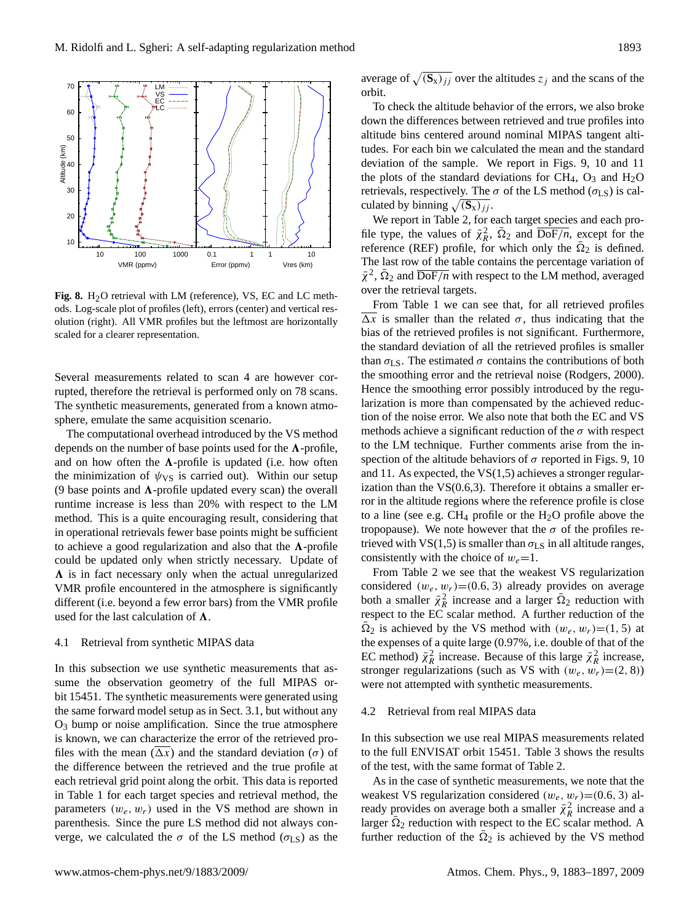

<span id="page-10-0"></span>Fig. 8. H<sub>2</sub>O retrieval with LM (reference), VS, EC and LC methods. Log-scale plot of profiles (left), errors (center) and vertical resolution (right). All VMR profiles but the leftmost are horizontally scaled for a clearer representation.

Several measurements related to scan 4 are however corrupted, therefore the retrieval is performed only on 78 scans. The synthetic measurements, generated from a known atmosphere, emulate the same acquisition scenario.

The computational overhead introduced by the VS method depends on the number of base points used for the  $\Lambda$ -profile, and on how often the  $\Lambda$ -profile is updated (i.e. how often the minimization of  $\psi_{VS}$  is carried out). Within our setup (9 base points and  $\Lambda$ -profile updated every scan) the overall runtime increase is less than 20% with respect to the LM method. This is a quite encouraging result, considering that in operational retrievals fewer base points might be sufficient to achieve a good regularization and also that the  $\Lambda$ -profile could be updated only when strictly necessary. Update of  $\Lambda$  is in fact necessary only when the actual unregularized VMR profile encountered in the atmosphere is significantly different (i.e. beyond a few error bars) from the VMR profile used for the last calculation of  $\Lambda$ .

#### 4.1 Retrieval from synthetic MIPAS data

In this subsection we use synthetic measurements that assume the observation geometry of the full MIPAS orbit 15451. The synthetic measurements were generated using the same forward model setup as in Sect. [3.1,](#page-4-1) but without any  $O<sub>3</sub>$  bump or noise amplification. Since the true atmosphere is known, we can characterize the error of the retrieved profiles with the mean  $(\Delta x)$  and the standard deviation ( $\sigma$ ) of the difference between the retrieved and the true profile at each retrieval grid point along the orbit. This data is reported in Table [1](#page-9-0) for each target species and retrieval method, the parameters  $(w_e, w_r)$  used in the VS method are shown in parenthesis. Since the pure LS method did not always converge, we calculated the  $\sigma$  of the LS method ( $\sigma$ <sub>LS</sub>) as the

average of  $\sqrt{(S_x)_{jj}}$  over the altitudes  $z_j$  and the scans of the orbit.

To check the altitude behavior of the errors, we also broke down the differences between retrieved and true profiles into altitude bins centered around nominal MIPAS tangent altitudes. For each bin we calculated the mean and the standard deviation of the sample. We report in Figs. [9,](#page-11-1) [10](#page-11-2) and [11](#page-11-3) the plots of the standard deviations for CH<sub>4</sub>,  $O_3$  and H<sub>2</sub>O retrievals, respectively. The  $\sigma$  of the LS method ( $\sigma$ <sub>LS</sub>) is calculated by binning  $\sqrt{(S_x)_{jj}}$ .

We report in Table [2,](#page-9-1) for each target species and each profile type, the values of  $\bar{\chi}^2_R$ ,  $\bar{\Omega}_2$  and  $\overline{\text{DoF}}/n$ , except for the reference (REF) profile, for which only the  $\overline{\Omega}_2$  is defined. The last row of the table contains the percentage variation of  $\bar{\chi}^2$ ,  $\bar{\Omega}_2$  and  $\overline{\text{DoF}}/n$  with respect to the LM method, averaged over the retrieval targets.

From Table [1](#page-9-0) we can see that, for all retrieved profiles  $\overline{\Delta x}$  is smaller than the related  $\sigma$ , thus indicating that the bias of the retrieved profiles is not significant. Furthermore, the standard deviation of all the retrieved profiles is smaller than  $\sigma_{LS}$ . The estimated  $\sigma$  contains the contributions of both the smoothing error and the retrieval noise [\(Rodgers,](#page-13-16) [2000\)](#page-13-16). Hence the smoothing error possibly introduced by the regularization is more than compensated by the achieved reduction of the noise error. We also note that both the EC and VS methods achieve a significant reduction of the  $\sigma$  with respect to the LM technique. Further comments arise from the inspection of the altitude behaviors of  $\sigma$  reported in Figs. [9,](#page-11-1) [10](#page-11-2) and [11.](#page-11-3) As expected, the VS(1,5) achieves a stronger regularization than the  $VS(0.6,3)$ . Therefore it obtains a smaller error in the altitude regions where the reference profile is close to a line (see e.g.  $CH_4$  profile or the  $H_2O$  profile above the tropopause). We note however that the  $\sigma$  of the profiles retrieved with VS(1,5) is smaller than  $\sigma_{LS}$  in all altitude ranges, consistently with the choice of  $w_e=1$ .

From Table [2](#page-9-1) we see that the weakest VS regularization considered  $(w_e, w_r) = (0.6, 3)$  already provides on average both a smaller  $\bar{\chi}^2_R$  increase and a larger  $\bar{\Omega}_2$  reduction with respect to the EC scalar method. A further reduction of the  $\overline{\Omega}_2$  is achieved by the VS method with  $(w_e, w_r) = (1, 5)$  at the expenses of a quite large (0.97%, i.e. double of that of the EC method)  $\bar{\chi}^2_R$  increase. Because of this large  $\bar{\chi}^2_R$  increase, stronger regularizations (such as VS with  $(w_e, w_r)=(2, 8)$ ) were not attempted with synthetic measurements.

## 4.2 Retrieval from real MIPAS data

In this subsection we use real MIPAS measurements related to the full ENVISAT orbit 15451. Table [3](#page-12-3) shows the results of the test, with the same format of Table [2.](#page-9-1)

As in the case of synthetic measurements, we note that the weakest VS regularization considered  $(w_e, w_r)$ =(0.6, 3) already provides on average both a smaller  $\bar{\chi}^2_R$  increase and a larger  $\overline{\Omega}_2$  reduction with respect to the EC scalar method. A further reduction of the  $\overline{\Omega}_2$  is achieved by the VS method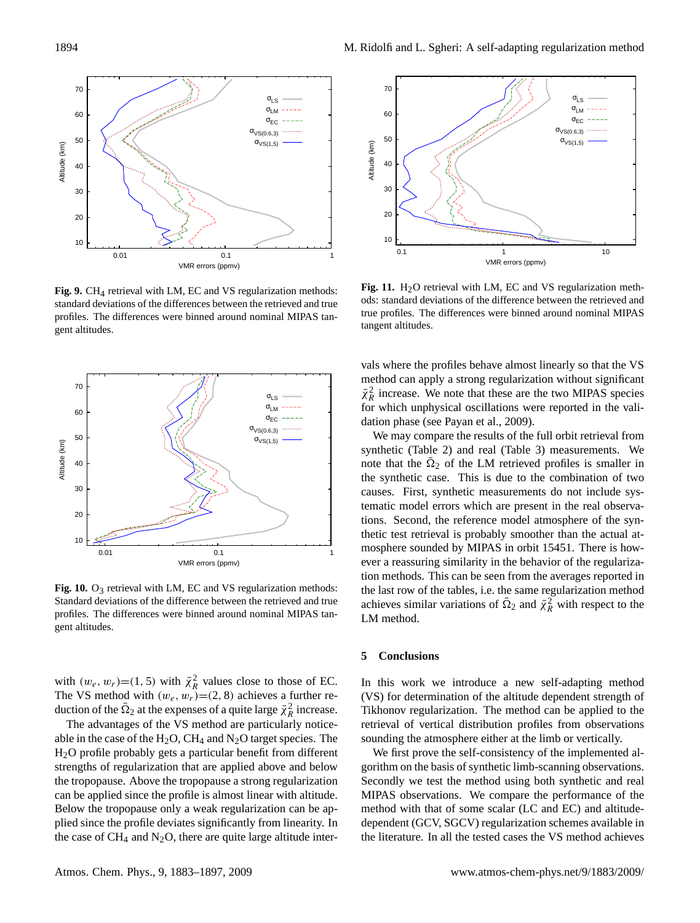

<span id="page-11-1"></span>Fig. 9. CH<sub>4</sub> retrieval with LM, EC and VS regularization methods: standard deviations of the differences between the retrieved and true profiles. The differences were binned around nominal MIPAS tangent altitudes.



<span id="page-11-2"></span>**Fig. 10.** O<sub>3</sub> retrieval with LM, EC and VS regularization methods: Standard deviations of the difference between the retrieved and true profiles. The differences were binned around nominal MIPAS tangent altitudes.

with  $(w_e, w_r) = (1, 5)$  with  $\overline{\chi}^2_R$  values close to those of EC. The VS method with  $(w_e, w_r) = (2, 8)$  achieves a further reduction of the  $\bar{\Omega}_2$  at the expenses of a quite large  $\bar{\chi}^2_R$  increase.

The advantages of the VS method are particularly noticeable in the case of the  $H_2O$ , CH<sub>4</sub> and N<sub>2</sub>O target species. The H2O profile probably gets a particular benefit from different strengths of regularization that are applied above and below the tropopause. Above the tropopause a strong regularization can be applied since the profile is almost linear with altitude. Below the tropopause only a weak regularization can be applied since the profile deviates significantly from linearity. In the case of  $CH_4$  and  $N_2O$ , there are quite large altitude inter-



<span id="page-11-3"></span>Fig. 11. H<sub>2</sub>O retrieval with LM, EC and VS regularization methods: standard deviations of the difference between the retrieved and true profiles. The differences were binned around nominal MIPAS tangent altitudes.

vals where the profiles behave almost linearly so that the VS method can apply a strong regularization without significant  $\bar{\chi}^2_R$  increase. We note that these are the two MIPAS species for which unphysical oscillations were reported in the validation phase (see [Payan et al.,](#page-13-3) [2009\)](#page-13-3).

We may compare the results of the full orbit retrieval from synthetic (Table [2\)](#page-9-1) and real (Table [3\)](#page-12-3) measurements. We note that the  $\bar{\Omega}_2$  of the LM retrieved profiles is smaller in the synthetic case. This is due to the combination of two causes. First, synthetic measurements do not include systematic model errors which are present in the real observations. Second, the reference model atmosphere of the synthetic test retrieval is probably smoother than the actual atmosphere sounded by MIPAS in orbit 15451. There is however a reassuring similarity in the behavior of the regularization methods. This can be seen from the averages reported in the last row of the tables, i.e. the same regularization method achieves similar variations of  $\overline{\Omega}_2$  and  $\overline{\chi}_R^2$  with respect to the LM method.

## <span id="page-11-0"></span>**5 Conclusions**

In this work we introduce a new self-adapting method (VS) for determination of the altitude dependent strength of Tikhonov regularization. The method can be applied to the retrieval of vertical distribution profiles from observations sounding the atmosphere either at the limb or vertically.

We first prove the self-consistency of the implemented algorithm on the basis of synthetic limb-scanning observations. Secondly we test the method using both synthetic and real MIPAS observations. We compare the performance of the method with that of some scalar (LC and EC) and altitudedependent (GCV, SGCV) regularization schemes available in the literature. In all the tested cases the VS method achieves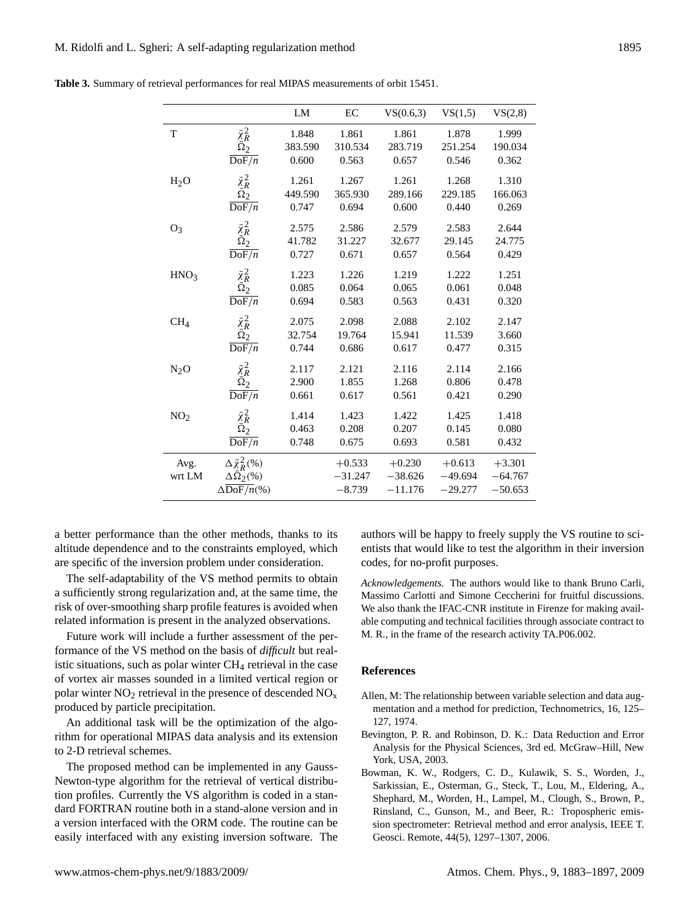|                  |                                           | LM      | EC        | VS(0.6,3) | VS(1,5)   | VS(2,8)   |
|------------------|-------------------------------------------|---------|-----------|-----------|-----------|-----------|
| T                | $\bar{\chi}^2_R \over \bar{\Omega}_2$     | 1.848   | 1.861     | 1.861     | 1.878     | 1.999     |
|                  |                                           | 383.590 | 310.534   | 283.719   | 251.254   | 190.034   |
|                  | $\overline{\mathrm{DoF}/n}$               | 0.600   | 0.563     | 0.657     | 0.546     | 0.362     |
| H <sub>2</sub> O | $\bar{\chi}^2_R \bar{\tilde{\Omega}}^2_2$ | 1.261   | 1.267     | 1.261     | 1.268     | 1.310     |
|                  |                                           | 449.590 | 365.930   | 289.166   | 229.185   | 166.063   |
|                  | $\overline{\text{DoF}/n}$                 | 0.747   | 0.694     | 0.600     | 0.440     | 0.269     |
| O <sub>3</sub>   | $\bar{\chi}^2_R$ $\bar{\Omega}_2$         | 2.575   | 2.586     | 2.579     | 2.583     | 2.644     |
|                  |                                           | 41.782  | 31.227    | 32.677    | 29.145    | 24.775    |
|                  | $\overline{\text{DoF}/n}$                 | 0.727   | 0.671     | 0.657     | 0.564     | 0.429     |
| HNO <sub>3</sub> | $\bar{\chi}^2_R$ $\bar{\Omega}_2$         | 1.223   | 1.226     | 1.219     | 1.222     | 1.251     |
|                  |                                           | 0.085   | 0.064     | 0.065     | 0.061     | 0.048     |
|                  | $\overline{\mathrm{DoF}/n}$               | 0.694   | 0.583     | 0.563     | 0.431     | 0.320     |
| CH <sub>4</sub>  | $\bar{\chi}^2_R \over \bar{\Omega}_2$     | 2.075   | 2.098     | 2.088     | 2.102     | 2.147     |
|                  |                                           | 32.754  | 19.764    | 15.941    | 11.539    | 3.660     |
|                  | $\overline{\text{DoF}/n}$                 | 0.744   | 0.686     | 0.617     | 0.477     | 0.315     |
| $N_2O$           | $\bar{\chi}_R^2$                          | 2.117   | 2.121     | 2.116     | 2.114     | 2.166     |
|                  | $\overline{\Omega}_2$                     | 2.900   | 1.855     | 1.268     | 0.806     | 0.478     |
|                  | $\overline{\text{DoF}/n}$                 | 0.661   | 0.617     | 0.561     | 0.421     | 0.290     |
| NO <sub>2</sub>  | $\bar{\chi}^2_R$ $\bar{\Omega}_2$         | 1.414   | 1.423     | 1.422     | 1.425     | 1.418     |
|                  |                                           | 0.463   | 0.208     | 0.207     | 0.145     | 0.080     |
|                  | $\overline{\text{DoF}/n}$                 | 0.748   | 0.675     | 0.693     | 0.581     | 0.432     |
| Avg.             | $\Delta \bar{\chi}^2_R$ (%)               |         | $+0.533$  | $+0.230$  | $+0.613$  | $+3.301$  |
| wrt LM           | $\Delta\bar{\Omega}_2(\%)$                |         | $-31.247$ | $-38.626$ | $-49.694$ | $-64.767$ |
|                  | $\Delta\overline{\mathrm{DoF}/n}$ (%)     |         | $-8.739$  | $-11.176$ | $-29.277$ | $-50.653$ |

<span id="page-12-3"></span>**Table 3.** Summary of retrieval performances for real MIPAS measurements of orbit 15451.

a better performance than the other methods, thanks to its altitude dependence and to the constraints employed, which are specific of the inversion problem under consideration.

The self-adaptability of the VS method permits to obtain a sufficiently strong regularization and, at the same time, the risk of over-smoothing sharp profile features is avoided when related information is present in the analyzed observations.

Future work will include a further assessment of the performance of the VS method on the basis of *difficult* but realistic situations, such as polar winter  $CH<sub>4</sub>$  retrieval in the case of vortex air masses sounded in a limited vertical region or polar winter  $NO<sub>2</sub>$  retrieval in the presence of descended  $NO<sub>x</sub>$ produced by particle precipitation.

An additional task will be the optimization of the algorithm for operational MIPAS data analysis and its extension to 2-D retrieval schemes.

The proposed method can be implemented in any Gauss-Newton-type algorithm for the retrieval of vertical distribution profiles. Currently the VS algorithm is coded in a standard FORTRAN routine both in a stand-alone version and in a version interfaced with the ORM code. The routine can be easily interfaced with any existing inversion software. The authors will be happy to freely supply the VS routine to scientists that would like to test the algorithm in their inversion codes, for no-profit purposes.

*Acknowledgements.* The authors would like to thank Bruno Carli, Massimo Carlotti and Simone Ceccherini for fruitful discussions. We also thank the IFAC-CNR institute in Firenze for making available computing and technical facilities through associate contract to M. R., in the frame of the research activity TA.P06.002.

### **References**

- <span id="page-12-0"></span>Allen, M: The relationship between variable selection and data augmentation and a method for prediction, Technometrics, 16, 125– 127, 1974.
- <span id="page-12-2"></span>Bevington, P. R. and Robinson, D. K.: Data Reduction and Error Analysis for the Physical Sciences, 3rd ed. McGraw–Hill, New York, USA, 2003.
- <span id="page-12-1"></span>Bowman, K. W., Rodgers, C. D., Kulawik, S. S., Worden, J., Sarkissian, E., Osterman, G., Steck, T., Lou, M., Eldering, A., Shephard, M., Worden, H., Lampel, M., Clough, S., Brown, P., Rinsland, C., Gunson, M., and Beer, R.: Tropospheric emission spectrometer: Retrieval method and error analysis, IEEE T. Geosci. Remote, 44(5), 1297–1307, 2006.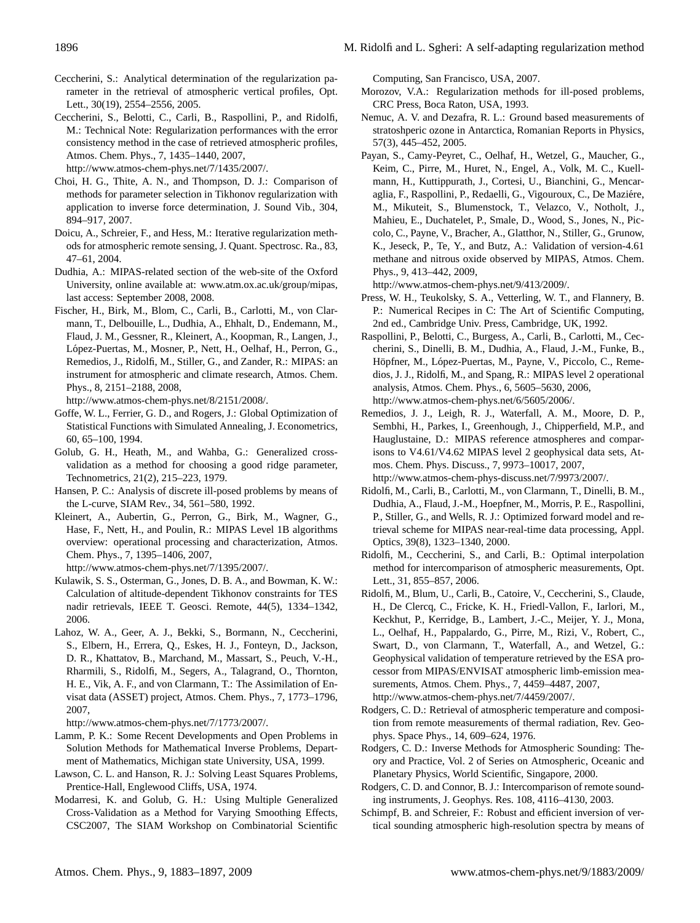- <span id="page-13-4"></span>Ceccherini, S.: Analytical determination of the regularization parameter in the retrieval of atmospheric vertical profiles, Opt. Lett., 30(19), 2554–2556, 2005.
- <span id="page-13-19"></span>Ceccherini, S., Belotti, C., Carli, B., Raspollini, P., and Ridolfi, M.: Technical Note: Regularization performances with the error consistency method in the case of retrieved atmospheric profiles, Atmos. Chem. Phys., 7, 1435–1440, 2007, [http://www.atmos-chem-phys.net/7/1435/2007/.](http://www.atmos-chem-phys.net/7/1435/2007/)
- <span id="page-13-10"></span>Choi, H. G., Thite, A. N., and Thompson, D. J.: Comparison of methods for parameter selection in Tikhonov regularization with application to inverse force determination, J. Sound Vib., 304, 894–917, 2007.
- <span id="page-13-12"></span>Doicu, A., Schreier, F., and Hess, M.: Iterative regularization methods for atmospheric remote sensing, J. Quant. Spectrosc. Ra., 83, 47–61, 2004.
- <span id="page-13-22"></span>Dudhia, A.: MIPAS-related section of the web-site of the Oxford University, online available at: [www.atm.ox.ac.uk/group/mipas,](www.atm.ox.ac.uk/group/mipas) last access: September 2008, 2008.
- <span id="page-13-0"></span>Fischer, H., Birk, M., Blom, C., Carli, B., Carlotti, M., von Clarmann, T., Delbouille, L., Dudhia, A., Ehhalt, D., Endemann, M., Flaud, J. M., Gessner, R., Kleinert, A., Koopman, R., Langen, J., López-Puertas, M., Mosner, P., Nett, H., Oelhaf, H., Perron, G., Remedios, J., Ridolfi, M., Stiller, G., and Zander, R.: MIPAS: an instrument for atmospheric and climate research, Atmos. Chem. Phys., 8, 2151–2188, 2008,

[http://www.atmos-chem-phys.net/8/2151/2008/.](http://www.atmos-chem-phys.net/8/2151/2008/)

- <span id="page-13-18"></span>Goffe, W. L., Ferrier, G. D., and Rogers, J.: Global Optimization of Statistical Functions with Simulated Annealing, J. Econometrics, 60, 65–100, 1994.
- <span id="page-13-6"></span>Golub, G. H., Heath, M., and Wahba, G.: Generalized crossvalidation as a method for choosing a good ridge parameter, Technometrics, 21(2), 215–223, 1979.
- <span id="page-13-8"></span>Hansen, P. C.: Analysis of discrete ill-posed problems by means of the L-curve, SIAM Rev., 34, 561–580, 1992.
- <span id="page-13-5"></span>Kleinert, A., Aubertin, G., Perron, G., Birk, M., Wagner, G., Hase, F., Nett, H., and Poulin, R.: MIPAS Level 1B algorithms overview: operational processing and characterization, Atmos. Chem. Phys., 7, 1395–1406, 2007, [http://www.atmos-chem-phys.net/7/1395/2007/.](http://www.atmos-chem-phys.net/7/1395/2007/)
- <span id="page-13-15"></span>Kulawik, S. S., Osterman, G., Jones, D. B. A., and Bowman, K. W.: Calculation of altitude-dependent Tikhonov constraints for TES nadir retrievals, IEEE T. Geosci. Remote, 44(5), 1334–1342, 2006.
- <span id="page-13-26"></span>Lahoz, W. A., Geer, A. J., Bekki, S., Bormann, N., Ceccherini, S., Elbern, H., Errera, Q., Eskes, H. J., Fonteyn, D., Jackson, D. R., Khattatov, B., Marchand, M., Massart, S., Peuch, V.-H., Rharmili, S., Ridolfi, M., Segers, A., Talagrand, O., Thornton, H. E., Vik, A. F., and von Clarmann, T.: The Assimilation of Envisat data (ASSET) project, Atmos. Chem. Phys., 7, 1773–1796, 2007,

[http://www.atmos-chem-phys.net/7/1773/2007/.](http://www.atmos-chem-phys.net/7/1773/2007/)

- <span id="page-13-13"></span>Lamm, P. K.: Some Recent Developments and Open Problems in Solution Methods for Mathematical Inverse Problems, Department of Mathematics, Michigan state University, USA, 1999.
- <span id="page-13-7"></span>Lawson, C. L. and Hanson, R. J.: Solving Least Squares Problems, Prentice-Hall, Englewood Cliffs, USA, 1974.
- <span id="page-13-14"></span>Modarresi, K. and Golub, G. H.: Using Multiple Generalized Cross-Validation as a Method for Varying Smoothing Effects, CSC2007, The SIAM Workshop on Combinatorial Scientific

Computing, San Francisco, USA, 2007.

- <span id="page-13-9"></span>Morozov, V.A.: Regularization methods for ill-posed problems, CRC Press, Boca Raton, USA, 1993.
- <span id="page-13-21"></span>Nemuc, A. V. and Dezafra, R. L.: Ground based measurements of stratoshperic ozone in Antarctica, Romanian Reports in Physics, 57(3), 445–452, 2005.
- <span id="page-13-3"></span>Payan, S., Camy-Peyret, C., Oelhaf, H., Wetzel, G., Maucher, G., Keim, C., Pirre, M., Huret, N., Engel, A., Volk, M. C., Kuellmann, H., Kuttippurath, J., Cortesi, U., Bianchini, G., Mencaraglia, F., Raspollini, P., Redaelli, G., Vigouroux, C., De Maziére, M., Mikuteit, S., Blumenstock, T., Velazco, V., Notholt, J., Mahieu, E., Duchatelet, P., Smale, D., Wood, S., Jones, N., Piccolo, C., Payne, V., Bracher, A., Glatthor, N., Stiller, G., Grunow, K., Jeseck, P., Te, Y., and Butz, A.: Validation of version-4.61 methane and nitrous oxide observed by MIPAS, Atmos. Chem. Phys., 9, 413–442, 2009,

[http://www.atmos-chem-phys.net/9/413/2009/.](http://www.atmos-chem-phys.net/9/413/2009/)

- <span id="page-13-17"></span>Press, W. H., Teukolsky, S. A., Vetterling, W. T., and Flannery, B. P.: Numerical Recipes in C: The Art of Scientific Computing, 2nd ed., Cambridge Univ. Press, Cambridge, UK, 1992.
- <span id="page-13-2"></span>Raspollini, P., Belotti, C., Burgess, A., Carli, B., Carlotti, M., Ceccherini, S., Dinelli, B. M., Dudhia, A., Flaud, J.-M., Funke, B., Höpfner, M., López-Puertas, M., Payne, V., Piccolo, C., Remedios, J. J., Ridolfi, M., and Spang, R.: MIPAS level 2 operational analysis, Atmos. Chem. Phys., 6, 5605–5630, 2006, [http://www.atmos-chem-phys.net/6/5605/2006/.](http://www.atmos-chem-phys.net/6/5605/2006/)
- <span id="page-13-20"></span>Remedios, J. J., Leigh, R. J., Waterfall, A. M., Moore, D. P., Sembhi, H., Parkes, I., Greenhough, J., Chipperfield, M.P., and Hauglustaine, D.: MIPAS reference atmospheres and comparisons to V4.61/V4.62 MIPAS level 2 geophysical data sets, Atmos. Chem. Phys. Discuss., 7, 9973–10017, 2007, [http://www.atmos-chem-phys-discuss.net/7/9973/2007/.](http://www.atmos-chem-phys-discuss.net/7/9973/2007/)
- <span id="page-13-1"></span>Ridolfi, M., Carli, B., Carlotti, M., von Clarmann, T., Dinelli, B. M., Dudhia, A., Flaud, J.-M., Hoepfner, M., Morris, P. E., Raspollini, P., Stiller, G., and Wells, R. J.: Optimized forward model and retrieval scheme for MIPAS near-real-time data processing, Appl. Optics, 39(8), 1323–1340, 2000.
- <span id="page-13-24"></span>Ridolfi, M., Ceccherini, S., and Carli, B.: Optimal interpolation method for intercomparison of atmospheric measurements, Opt. Lett., 31, 855–857, 2006.
- <span id="page-13-25"></span>Ridolfi, M., Blum, U., Carli, B., Catoire, V., Ceccherini, S., Claude, H., De Clercq, C., Fricke, K. H., Friedl-Vallon, F., Iarlori, M., Keckhut, P., Kerridge, B., Lambert, J.-C., Meijer, Y. J., Mona, L., Oelhaf, H., Pappalardo, G., Pirre, M., Rizi, V., Robert, C., Swart, D., von Clarmann, T., Waterfall, A., and Wetzel, G.: Geophysical validation of temperature retrieved by the ESA processor from MIPAS/ENVISAT atmospheric limb-emission measurements, Atmos. Chem. Phys., 7, 4459–4487, 2007, [http://www.atmos-chem-phys.net/7/4459/2007/.](http://www.atmos-chem-phys.net/7/4459/2007/)
- Rodgers, C. D.: Retrieval of atmospheric temperature and composition from remote measurements of thermal radiation, Rev. Geophys. Space Phys., 14, 609–624, 1976.
- <span id="page-13-16"></span>Rodgers, C. D.: Inverse Methods for Atmospheric Sounding: Theory and Practice, Vol. 2 of Series on Atmospheric, Oceanic and Planetary Physics, World Scientific, Singapore, 2000.
- <span id="page-13-23"></span>Rodgers, C. D. and Connor, B. J.: Intercomparison of remote sounding instruments, J. Geophys. Res. 108, 4116–4130, 2003.
- <span id="page-13-11"></span>Schimpf, B. and Schreier, F.: Robust and efficient inversion of vertical sounding atmospheric high-resolution spectra by means of